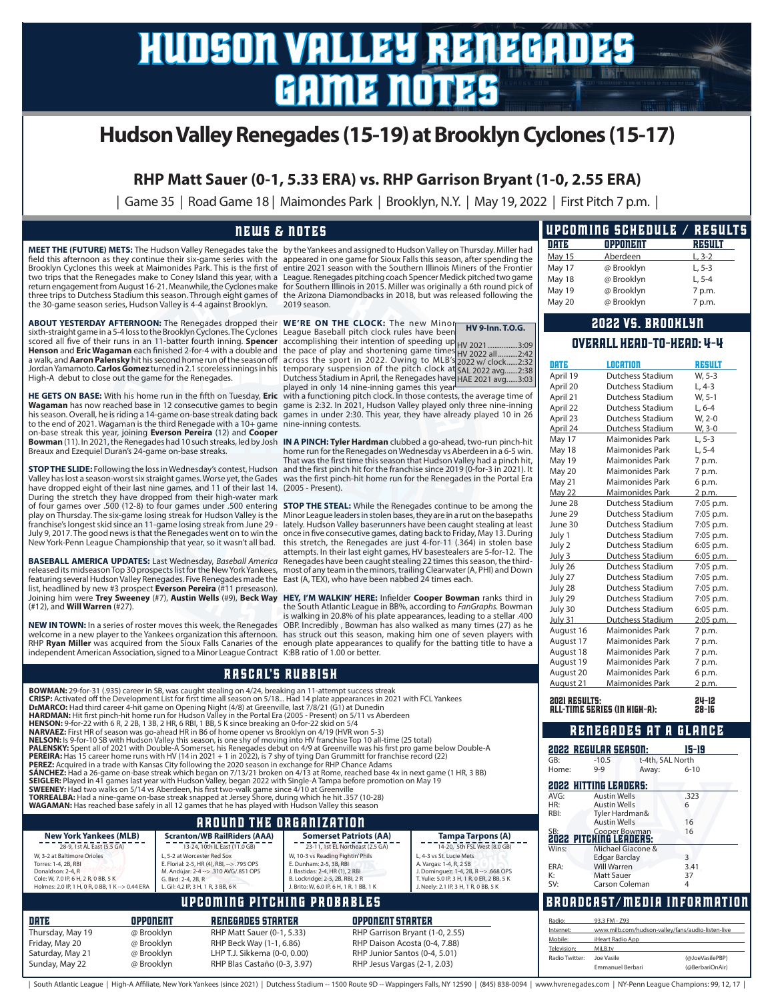# hudson valley renegades game notes

# **Hudson Valley Renegades (15-19) at Brooklyn Cyclones (15-17)**

**RHP Matt Sauer (0-1, 5.33 ERA) vs. RHP Garrison Bryant (1-0, 2.55 ERA)**

| Game 35 | Road Game 18 | Maimondes Park | Brooklyn, N.Y. | May 19, 2022 | First Pitch 7 p.m. |

#### news & notes

two trips that the Renegades make to Coney Island this year, with a return engagement from August 16-21. Meanwhile, the Cyclones make the 30-game season series, Hudson Valley is 4-4 against Brooklyn.

**ABOUT YESTERDAY AFTERNOON:** The Renegades dropped their **WE'RE ON THE CLOCK:** The new Minor sixth-straight game in a 5-4 loss to the Brooklyn Cyclones. The Cyclones League Baseball pitch clock rules have been scored all five of their runs in an 11-batter fourth inning. **Spencer**<br>**Henson** and **Eric Wagaman** each finished 2-for-4 with a double and<br>a walk, and **Aaron Palensky** hit his second home run of the season off<br>Jordan Yamam

**Wagaman** has now reached base in 12 consecutive games to begin on-base streak this year, joining **Everson Pereira** (12) and **Cooper**  Breaux and Ezequiel Duran's 24-game on-base streaks.

have dropped eight of their last nine games, and 11 of their last 14. During the stretch they have dropped from their high-water mark (2005 - Present). of four games over .500 (12-8) to four games under .500 entering play on Thursday. The six-game losing streak for Hudson Valley is the franchise's longest skid since an 11-game losing streak from June 29 - July 9, 2017. The good news is that the Renegades went on to win the New York-Penn League Championship that year, so it wasn't all bad.

featuring several Hudson Valley Renegades. Five Renegades made the list, headlined by new #3 prospect **Everson Pereira** (#11 preseason).<br>Joining him were **Trey Sweeney** (#7), **Austin Wells** (#9), **Beck Way HEY, I'M WALKIN' HERE:** Infielder **Cooper Bowman** ranks third in (#12), and **Will Warren** (#27).

independent American Association, signed to a Minor League Contract K:BB ratio of 1.00 or better.

**MEET THE (FUTURE) METS:** The Hudson Valley Renegades take the by the Yankees and assigned to Hudson Valley on Thursday. Miller had field this afternoon as they continue their six-game series with the appeared in one game for Sioux Falls this season, after spending the<br>Brooklyn Cyclones this week at Maimonides Park. This is the first of entire 2021 s three trips to Dutchess Stadium this season. Through eight games of the Arizona Diamondbacks in 2018, but was released following the League. Renegades pitching coach Spencer Medick pitched two game for Southern Illinois in 2015. Miller was originally a 6th round pick of 2019 season.

**HV 9-Inn. T.O.G.**

accomplishing their intention of speeding up<br>the pace of play and shortening game times<br>across the sport in 2022. Owing to MLB's<br>temporary suspension of the pitch clock at<br>Dutchess Stadium in April, the Renegades have<br>play HV 2021 ..................3:09<br>HV 2022 all .............2:42<br>2022 w/ clock.......2:32<br>SAL 2022 avg.......3:03<br>HAE 2021 avg......3:03

HE GETS ON BASE: With his home run in the fifth on Tuesday, Eric with a functioning pitch clock. In those contests, the average time of his season. Overall, he is riding a 14-game on-base streak dating back games in under 2:30. This year, they have already played 10 in 26<br>to the end of 2021. Wagaman is the third Renegade with a 10+ game nine-inning contest game is 2:32. In 2021, Hudson Valley played only three nine-inning

**Bowman** (11). In 2021, the Renegades had 10 such streaks, led by Josh **IN A PINCH: Tyler Hardman** clubbed a go-ahead, two-run pinch-hit **STOP THE SLIDE:** Following the loss in Wednesday's contest, Hudson and the first pinch hit for the franchise since 2019 (0-for-3 in 2021). It Valley has lost a season-worst six straight games. Worse yet, the Gades was the first pinch-hit home run for the Renegades in the Portal Era home run for the Renegades on Wednesday vs Aberdeen in a 6-5 win. That was the first time this season that Hudson Valley had a pinch hit,

**BASEBALL AMERICA UPDATES:** Last Wednesday, *Baseball America* Renegades have been caught stealing 22 times this season, the third-<br>released its midseason Top 30 prospects list for the New York Yankees, most of any team in **STOP THE STEAL:** While the Renegades continue to be among the Minor League leaders in stolen bases, they are in a rut on the basepaths lately. Hudson Valley baserunners have been caught stealing at least once in five consecutive games, dating back to Friday, May 13. During this stretch, the Renegades are just 4-for-11 (.364) in stolen base attempts. In their last eight games, HV basestealers are 5-for-12. The East (A, TEX), who have been nabbed 24 times each.

NEW IN TOWN: In a series of roster moves this week, the Renegades OBP. Incredibly, Bowman has also walked as many times (27) as he welcome in a new player to the Yankees organization this afternoon. has struck out this season, making him one of seven players with RHP Ryan Miller was acquired from the Sioux Falls Canaries of the enough plate appearances to qualify for the batting title to have a the South Atlantic League in BB%, according to *FanGraphs.* Bowman is walking in 20.8% of his plate appearances, leading to a stellar .400

#### rascal's rubbish

Sunday, May 22 @ Brooklyn RHP Blas Castaño (0-3, 3.97) RHP Jesus Vargas (2-1, 2.03)

| BOWMAN: 29-for-31 (.935) career in SB, was caught stealing on 4/24, breaking an 11-attempt success streak<br>CRISP: Activated off the Development List for first time all season on 5/18 Had 14 plate appearances in 2021 with FCL Yankees<br>DEMARCO: Had third career 4-hit game on Opening Night (4/8) at Greenville, last 7/8/21 (G1) at Dunedin<br>HARDMAN: Hit first pinch-hit home run for Hudson Valley in the Portal Era (2005 - Present) on 5/11 vs Aberdeen<br><b>HENSON:</b> 9-for-22 with 6 R, 2 2B, 1 3B, 2 HR, 6 RBI, 1 BB, 5 K since breaking an 0-for-22 skid on 5/4<br><b>NARVAEZ:</b> First HR of season was go-ahead HR in B6 of home opener vs Brooklyn on 4/19 (HVR won 5-3)<br>NELSON: Is 9-for-10 SB with Hudson Valley this season, is one shy of moving into HV franchise Top 10 all-time (25 total)                                                                                                                                  | August 21<br><b>2021 RESULTS:</b>                                                                                                                                                                                                                          | Maimonides Park<br><b>ALL-TIME SERIES (IN HIGH-A):</b><br>RENEGADES AT A GLANCE                                                                                                                                                                     | 2 p.m.<br>24-12<br>$28 - 16$                                                                                                                                                                                                                      |                                                                 |                                                                                                                                         |                       |
|-----------------------------------------------------------------------------------------------------------------------------------------------------------------------------------------------------------------------------------------------------------------------------------------------------------------------------------------------------------------------------------------------------------------------------------------------------------------------------------------------------------------------------------------------------------------------------------------------------------------------------------------------------------------------------------------------------------------------------------------------------------------------------------------------------------------------------------------------------------------------------------------------------------------------------------------------------------------|------------------------------------------------------------------------------------------------------------------------------------------------------------------------------------------------------------------------------------------------------------|-----------------------------------------------------------------------------------------------------------------------------------------------------------------------------------------------------------------------------------------------------|---------------------------------------------------------------------------------------------------------------------------------------------------------------------------------------------------------------------------------------------------|-----------------------------------------------------------------|-----------------------------------------------------------------------------------------------------------------------------------------|-----------------------|
| PALENSKY: Spent all of 2021 with Double-A Somerset, his Renegades debut on 4/9 at Greenville was his first pro game below Double-A<br>PEREIRA: Has 15 career home runs with HV (14 in 2021 + 1 in 2022), is 7 shy of tying Dan Grummitt for franchise record (22)<br>PEREZ: Acquired in a trade with Kansas City following the 2020 season in exchange for RHP Chance Adams<br><b>SÁNCHEZ:</b> Had a 26-game on-base streak which began on 7/13/21 broken on 4/13 at Rome, reached base 4x in next game (1 HR, 3 BB)<br>SEIGLER: Played in 41 games last year with Hudson Valley, began 2022 with Single-A Tampa before promotion on May 19<br><b>SWEENEY:</b> Had two walks on 5/14 vs Aberdeen, his first two-walk game since 4/10 at Greenville<br>TORREALBA: Had a nine-game on-base streak snapped at Jersey Shore, during which he hit .357 (10-28)<br>WAGAMAN: Has reached base safely in all 12 games that he has played with Hudson Valley this season | GB:<br>Home:<br>AVG:<br>HR:                                                                                                                                                                                                                                | <b>2022 REGULAR SEASON:</b><br>t-4th, SAL North<br>$-10.5$<br>$9 - 9$<br>Away:<br><b>2022 HITTING LEADERS:</b><br><b>Austin Wells</b><br><b>Austin Wells</b>                                                                                        | $15 - 19$<br>$6 - 10$<br>.323                                                                                                                                                                                                                     |                                                                 |                                                                                                                                         |                       |
|                                                                                                                                                                                                                                                                                                                                                                                                                                                                                                                                                                                                                                                                                                                                                                                                                                                                                                                                                                 |                                                                                                                                                                                                                                                            | <b>AROUND THE ORGANIZATION</b>                                                                                                                                                                                                                      |                                                                                                                                                                                                                                                   | RBI:                                                            | Tyler Hardman&<br><b>Austin Wells</b>                                                                                                   | 16                    |
| <b>New York Yankees (MLB)</b><br>28-9, 1st AL East (5.5 GA)<br>W. 3-2 at Baltimore Orioles<br>Torres: 1-4, 2B, RBI<br>Donaldson: 2-4, R<br>Cole: W, 7.0 IP, 6 H, 2 R, 0 BB, 5 K<br>Holmes: 2.0 IP, 1 H, 0 R, 0 BB, 1 K -- > 0.44 ERA                                                                                                                                                                                                                                                                                                                                                                                                                                                                                                                                                                                                                                                                                                                            | <b>Scranton/WB RailRiders (AAA)</b><br>13-24, 10th IL East (11.0 GB)<br>L. 5-2 at Worcester Red Sox<br>E. Florial: 2-5, HR (4), RBI, -- > .795 OPS<br>M. Andújar: 2-4 -- > .310 AVG/.851 OPS<br>G. Bird: 2-4, 2B, R<br>L. Gil: 4.2 IP, 3 H, 1 R, 3 BB, 6 K | <b>Somerset Patriots (AA)</b><br>23-11, 1st EL Northeast (2.5 GA)<br>W, 10-3 vs Reading Fightin' Phils<br>E. Dunham: 2-5, 3B, RBI<br>J. Bastidas: 2-4, HR (1), 2 RBI<br>B. Lockridge: 2-5, 2B, RBI, 2 R<br>J. Brito: W, 6.0 IP, 6 H, 1 R, 1 BB, 1 K | <b>Tampa Tarpons (A)</b><br>14-20, 5th FSL West (8.0 GB)<br>L. 4-3 vs St. Lucie Mets<br>A. Vargas: 1-4, R, 2 SB<br>J. Dominguez: 1-4, 2B, R --> .668 OPS<br>T. Yulie: 5.0 IP. 3 H. 1 R. 0 ER. 2 BB. 5 K.<br>J. Neely: 2.1 IP, 3 H, 1 R, 0 BB, 5 K | Wins:<br>ERA:<br>К:<br>SV:                                      | SB:<br><b>2022 PITCHING LEADERS:</b><br>Michael Giacone &<br><b>Edgar Barclay</b><br>Will Warren<br><b>Matt Sauer</b><br>Carson Coleman | 16<br>3.41<br>37<br>Δ |
|                                                                                                                                                                                                                                                                                                                                                                                                                                                                                                                                                                                                                                                                                                                                                                                                                                                                                                                                                                 |                                                                                                                                                                                                                                                            | UPCOMING PITCHING PROBABLES                                                                                                                                                                                                                         |                                                                                                                                                                                                                                                   |                                                                 | <b>BROADCAST/MEDIA INFORMAT</b>                                                                                                         |                       |
| DRTE<br>OPPONENT<br><b>RENEGADES STARTER</b><br>Thursday, May 19<br>RHP Matt Sauer (0-1, 5.33)<br>@ Brooklyn<br>RHP Beck Way (1-1, 6.86)<br>Friday, May 20<br>@ Brooklyn<br>Saturday, May 21<br>LHP T.J. Sikkema (0-0, 0.00)<br>@ Brooklyn                                                                                                                                                                                                                                                                                                                                                                                                                                                                                                                                                                                                                                                                                                                      |                                                                                                                                                                                                                                                            |                                                                                                                                                                                                                                                     | <b>OPPONENT STARTER</b><br>RHP Garrison Bryant (1-0, 2.55)<br>RHP Daison Acosta (0-4, 7.88)<br>RHP Junior Santos (0-4, 5.01)                                                                                                                      | Radio:<br>Internet:<br>Mobile:<br>Television:<br>Radio Twitter: | 93.3 FM - Z93<br>www.milb.com/hudson-valley/fans/audio-listen-liv<br><b>iHeart Radio App</b><br>MiLB.tv<br>Joe Vasile                   | (@JoeVasilePBP        |

|               | UPCOMING SCHEDULE / RESULTS |          |
|---------------|-----------------------------|----------|
| DRTE          | OPPONENT                    | RESULT   |
| <b>May 15</b> | Aberdeen                    | $L, 3-2$ |
| May 17        | @ Brooklyn                  | $L, 5-3$ |
| May 18        | @ Brooklyn                  | $L, 5-4$ |
| May 19        | @ Brooklyn                  | 7 p.m.   |
| May 20        | @ Brooklyn                  | 7 p.m.   |

#### 2022 vs. Brooklyn

#### overall head-to-head: 4-4

| $\overline{ }$ | DRTP                  | LOCATION                                                              | Result         |  |
|----------------|-----------------------|-----------------------------------------------------------------------|----------------|--|
| 3<br>š         | April 19              | Dutchess Stadium                                                      | W, 5-3         |  |
|                | April 20              | Dutchess Stadium                                                      | $L, 4-3$       |  |
| f              | April 21              | Dutchess Stadium                                                      | W, 5-1         |  |
| J              | April 22              | Dutchess Stadium                                                      | $L.6 - 4$      |  |
| i              | April 23              | Dutchess Stadium                                                      | W, 2-0         |  |
|                | April 24              | Dutchess Stadium                                                      | W, 3-0         |  |
| t              | May 17                | <b>Maimonides Park</b>                                                | $L.5-3$        |  |
|                | May 18                | <b>Maimonides Park</b>                                                | L, 5-4         |  |
|                | May 19                | <b>Maimonides Park</b>                                                | 7 p.m.         |  |
| t              | May 20                | <b>Maimonides Park</b>                                                | 7 p.m.         |  |
| ì              | May 21                | <b>Maimonides Park</b>                                                | 6 p.m.         |  |
|                | May 22                | Maimonides Park                                                       | 2 p.m.         |  |
| è              | June 28               | Dutchess Stadium                                                      | 7:05 p.m.      |  |
| 5              | June 29               | Dutchess Stadium                                                      | 7:05 p.m.      |  |
| ŀ              | June 30               | Dutchess Stadium                                                      | 7:05 p.m.      |  |
| Į              | July 1                | Dutchess Stadium                                                      | 7:05 p.m.      |  |
| è              | July 2                | Dutchess Stadium                                                      | 6:05 p.m.      |  |
| ì              | July 3                | Dutchess Stadium                                                      | $6:05$ p.m.    |  |
| ì              | July 26               | Dutchess Stadium                                                      | 7:05 p.m.      |  |
|                | July 27               | Dutchess Stadium                                                      | 7:05 p.m.      |  |
|                | July 28               | Dutchess Stadium                                                      | 7:05 p.m.      |  |
| Ì              | July 29               | Dutchess Stadium                                                      | 7:05 p.m.      |  |
| ١              | July 30               | Dutchess Stadium                                                      | 6:05 p.m.      |  |
| )<br>d         | July 31               | Dutchess Stadium                                                      | 2:05 p.m.      |  |
| Ì              | August 16             | Maimonides Park                                                       | 7 p.m.         |  |
| ì              | August 17             | <b>Maimonides Park</b>                                                | 7 p.m.         |  |
|                | August 18             | <b>Maimonides Park</b>                                                | 7 p.m.         |  |
|                |                       |                                                                       | 7 p.m.         |  |
|                | August 19             | Maimonides Park                                                       |                |  |
|                | August 20             | Maimonides Park                                                       | 6 p.m.         |  |
|                | August 21             | Maimonides Park                                                       | <u>2 p.m.</u>  |  |
|                |                       |                                                                       |                |  |
|                | 2021 RESULTS:         | ALL-TIME SERIES (IN HIGH-A):                                          | 24-12<br>28-16 |  |
|                |                       |                                                                       |                |  |
|                |                       | <b>ENEGADES</b><br><b>AT</b><br>A                                     | GLANCE         |  |
|                |                       |                                                                       |                |  |
|                |                       | <b>2022 REGULAR SEASON:</b>                                           | 15-19          |  |
|                | GB:<br>Home:          | $-10.5$<br>t-4th, SAL North<br>$9 - 9$                                | $6 - 10$       |  |
|                |                       | Away:                                                                 |                |  |
|                | 2022 HITTING LEADERS: |                                                                       |                |  |
|                | AVG:                  | <b>Austin Wells</b>                                                   | .323           |  |
|                | HR:<br>RBI:           | <b>Austin Wells</b><br>Tyler Hardman&                                 | 6              |  |
|                |                       | Austin Wells                                                          | 16             |  |
|                | ۲R                    | Cooper Bowman                                                         | 16             |  |
|                | 2022                  | PITCHING LEADERS:                                                     |                |  |
|                | Wins:                 | Michael Giacone &                                                     | 3              |  |
|                | ERA:                  | Edgar Barclay<br>Will Warren                                          | 3.41           |  |
|                | К:                    | Matt Sauer                                                            | 37             |  |
|                | SV:                   | Carson Coleman                                                        | 4              |  |
|                | 08<br>OCA             | EDIA<br>Ш                                                             |                |  |
|                |                       |                                                                       | INFORMATION    |  |
|                | Radio:                | 93.3 FM - 793                                                         |                |  |
|                | Internet:<br>Mobile:  | www.milb.com/hudson-valley/fans/audio-listen-live<br>iHeart Radio App |                |  |

Emmanuel Berbari (@BerbariOnAir)

| South Atlantic League | High-A Affiliate, New York Yankees (since 2021) | Dutchess Stadium -- 1500 Route 9D -- Wappingers Falls, NY 12590 | (845) 838-0094 | www.hvrenegades.com | NY-Penn League Champions: 99, 12, 17 |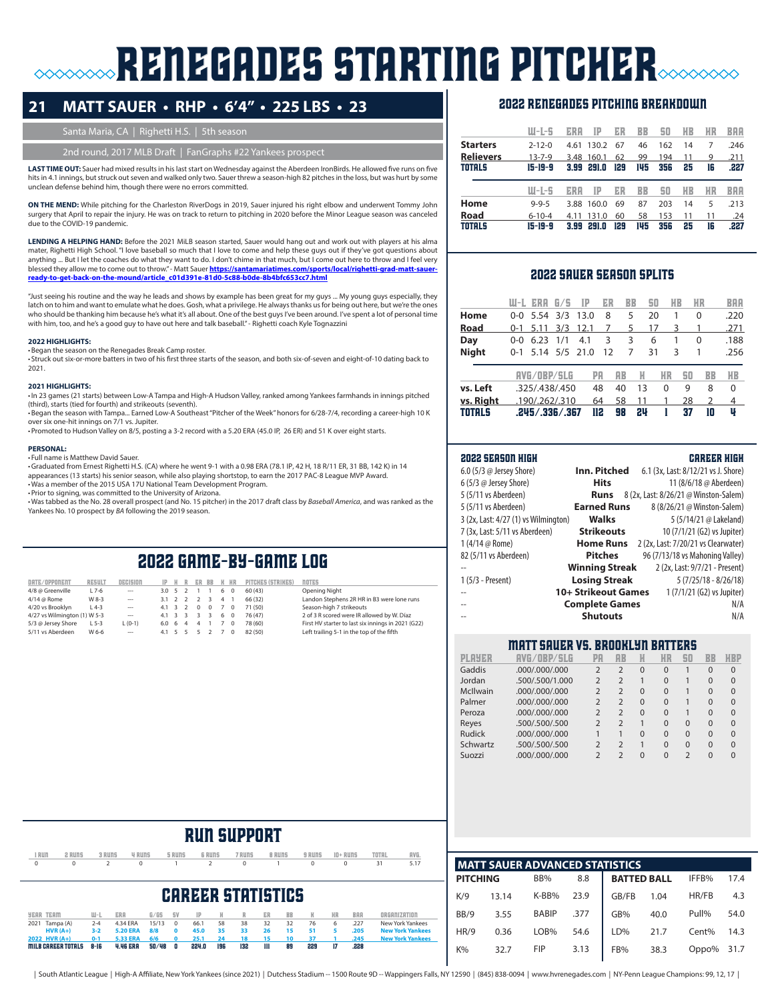# **RENEGADES STARTING PITCHER**

## **21 MATT SAUER • RHP • 6'4" • 225 LBS • 23**

#### Santa Maria, CA | Righetti H.S. | 5th season

#### 2nd round, 2017 MLB Draft | FanGraphs #22 Yankees prosped

**LAST TIME OUT:** Sauer had mixed results in his last start on Wednesday against the Aberdeen IronBirds. He allowed five runs on five hits in 4.1 innings, but struck out seven and walked only two. Sauer threw a season-high 82 pitches in the loss, but was hurt by some unclean defense behind him, though there were no errors committed.

**ON THE MEND:** While pitching for the Charleston RiverDogs in 2019, Sauer injured his right elbow and underwent Tommy John surgery that April to repair the injury. He was on track to return to pitching in 2020 before the Minor League season was canceled due to the COVID-19 pandemic.

**LENDING A HELPING HAND:** Before the 2021 MiLB season started, Sauer would hang out and work out with players at his alma mater, Righetti High School. "I love baseball so much that I love to come and help these guys out if they've got questions about anything ... But I let the coaches do what they want to do. I don't chime in that much, but I come out here to throw and I feel very blessed they allow me to come out to throw."- Matt Sauer <u>https://santamariatimes.com/sports/local/righetti-grad-matt-sauer-</u><br><u>ready-to-get-back-on-the-mound/article\_c01d391e-81d0-5c88-b0de-8b4bfc653cc7.html</u>

"Just seeing his routine and the way he leads and shows by example has been great for my guys ... My young guys especially, they latch on to him and want to emulate what he does. Gosh, what a privilege. He always thanks us for being out here, but we're the ones who should be thanking him because he's what it's all about. One of the best guys I've been around. I've spent a lot of personal time with him, too, and he's a good guy to have out here and talk baseball." - Righetti coach Kyle Tognazzini

#### **2022 HIGHLIGHTS:**

•Began the season on the Renegades Break Camp roster.

• Struck out six-or-more batters in two of his first three starts of the season, and both six-of-seven and eight-of-10 dating back to 2021.

#### **2021 HIGHLIGHTS:**

•In 23 games (21 starts) between Low-A Tampa and High-A Hudson Valley, ranked among Yankees farmhands in innings pitched (third), starts (tied for fourth) and strikeouts (seventh).

•Began the season with Tampa... Earned Low-A Southeast "Pitcher of the Week" honors for 6/28-7/4, recording a career-high 10 K over six one-hit innings on 7/1 vs. Jupiter.

•Promoted to Hudson Valley on 8/5, posting a 3-2 record with a 5.20 ERA (45.0 IP, 26 ER) and 51 K over eight starts.

#### **PERSONAL:**

• Full name is Matthew David Sauer.

•Graduated from Ernest Righetti H.S. (CA) where he went 9-1 with a 0.98 ERA (78.1 IP, 42 H, 18 R/11 ER, 31 BB, 142 K) in 14 appearances (13 starts) his senior season, while also playing shortstop, to earn the 2017 PAC-8 League MVP Award.<br>•Was a member of the 2015 USA 17U National Team Development Program. •Prior to signing, was committed to the University of Arizona.

•Was tabbed as the No. 28 overall prospect (and No. 15 pitcher) in the 2017 draft class by *Baseball America*, and was ranked as the Yankees No. 10 prospect by *BA* following the 2019 season.

# 2022 game-by-game log

| DATE/OPPONENT                | <b>RESULT</b> | necision       | $IP$ $H$              | R                        | ER BB                   |                         |                | K HR           | PITCHES (STRIKES) | <b>NOTES</b> |
|------------------------------|---------------|----------------|-----------------------|--------------------------|-------------------------|-------------------------|----------------|----------------|-------------------|--------------|
| 4/8 @ Greenville             | $L$ 7-6       | $\cdots$       | $3.0 \quad 5$         | $\overline{\phantom{a}}$ |                         |                         | 6              | $\Omega$       | 60 (43)           | Openi        |
| 4/14 @ Rome                  | W 8-3         | $- - -$        | $3.1 \quad 2$         | $\overline{2}$           | 2                       | $\overline{3}$          | $\overline{4}$ | $\overline{1}$ | 66 (32)           | Lando        |
| 4/20 vs Brooklyn             | $L$ 4-3       | $\overline{a}$ | $4.1 \quad 3$         | $\overline{2}$           | $\Omega$                | $\Omega$                | $\overline{7}$ | $\Omega$       | 71 (50)           | Seasor       |
| 4/27 vs Wilmington (1) W 5-3 |               | $-$            | $4.1 \quad 3$         | $\overline{\mathbf{3}}$  | $\overline{\mathbf{3}}$ | $\overline{\mathbf{3}}$ | - 6            | $\Omega$       | 76 (47)           | $2$ of $3$   |
| 5/3 @ Jersey Shore           | $L$ 5-3       | $L (0-1)$      | 6.0 6                 | $\overline{4}$           | 4                       | $\overline{1}$          | - 7            | $\Omega$       | 78 (60)           | First H      |
| 5/11 vs Aberdeen             | W 6-6         | $- - -$        | $4.1 \quad 5 \quad 5$ |                          | - 5                     | $\overline{2}$          | $\overline{7}$ | $\Omega$       | 82 (50)           | Left tr      |
|                              |               |                |                       |                          |                         |                         |                |                |                   |              |

Opening Night Landon Stephens 2R HR in B3 were lone runs Season-high 7 strikeouts 2 of 3 B scored were IR allowed by W. Díaz 5/3 @ Jersey Shore L 5-3 L (0-1) 6.0 6 4 4 1 7 0 78 (60) First HV starter to last six innings in 2021 (G22) Left trailing 5-1 in the top of the fifth

#### 2022 renegades pitching breakdown

|                  | W-L-S        | ERH  | IP    | ER  | BB  | 50  | HB | ИR | BAA  |
|------------------|--------------|------|-------|-----|-----|-----|----|----|------|
| <b>Starters</b>  | $2 - 12 - 0$ | 4.61 | 130.2 | 67  | 46  | 162 | 14 | 7  | .246 |
| <b>Relievers</b> | $13 - 7 - 9$ | 3.48 | 160.1 | 62  | 99  | 194 | 11 | 9  | .211 |
| <b>TOTALS</b>    | 15-19-9      | 3.99 | 291.0 | 129 | 145 | 356 | 25 | 16 | .227 |
|                  |              |      |       |     |     |     |    |    |      |
|                  | W-L-5        | ERA  | TP    | ER  | BB  | 50  | HВ | НR | BAA  |
| Home             | $9 - 9 - 5$  | 3.88 | 160.0 | 69  | 87  | 203 | 14 | 5  | .213 |
| <b>Road</b>      | $6 - 10 - 4$ | 4.11 | 131.0 | 60  | 58  | 153 | 11 | 11 | .24  |

#### 2022 sauer season splits

|               | W-L     | ERH                | 675 | IP            | ER  | BB        | 50 |           | ИB | ИR | BAA  |
|---------------|---------|--------------------|-----|---------------|-----|-----------|----|-----------|----|----|------|
| Home          | റ-റ     | 5.54               | 3/3 | 13.0          | 8   | 5         | 20 |           |    | 0  | .220 |
| Road          | $0 - 1$ | 5.11               | 3/3 | 12.1          | 7   | 5         | 17 |           | 3  |    | .271 |
| Day           | 0-0     | 6.23               | 1/1 | 4.1           | 3   | 3         | 6  |           | 1  | 0  | .188 |
| <b>Night</b>  | O-1     |                    |     | 5.14 5/5 21.0 | 12  | 7         | 31 |           | 3  |    | .256 |
|               |         | AVG/OBP/SLG        |     |               | PA  | <b>RB</b> | H  | <b>HR</b> | 50 | BB | HВ   |
| vs. Left      |         | .325/.438/.450     |     |               | 48  | 40        | 13 | 0         | 9  | 8  | 0    |
| vs. Right     |         | .190/.262/.310     |     |               | 64  | 58        | 11 | 1         | 28 | 2  | 4    |
| <b>TOTALS</b> |         | .245 / .336 / .367 |     |               | 112 | 98        | 24 |           | 37 | 10 | Ų    |

#### 2022 season high career high

| 6.0 (5/3 $\omega$ Jersey Shore)<br>6(5/3 @ Jersey Stone) | Inn. Pitched<br><b>Hits</b> | 6.1 (3x, Last: 8/12/21 vs J. Shore)<br>11 (8/6/18 @ Aberdeen) |
|----------------------------------------------------------|-----------------------------|---------------------------------------------------------------|
| 5 (5/11 vs Aberdeen)                                     | <b>Runs</b>                 | 8 (2x, Last: 8/26/21 @ Winston-Salem)                         |
| 5 (5/11 vs Aberdeen)                                     | <b>Earned Runs</b>          | 8 (8/26/21 @ Winston-Salem)                                   |
| 3 (2x, Last: 4/27 (1) vs Wilmington)                     | <b>Walks</b>                | 5 (5/14/21 @ Lakeland)                                        |
| 7 (3x, Last: 5/11 vs Aberdeen)                           | <b>Strikeouts</b>           | 10 (7/1/21 (G2) vs Jupiter)                                   |
| 1 (4/14 $\omega$ Rome)                                   | <b>Home Runs</b>            | 2 (2x, Last: 7/20/21 vs Clearwater)                           |
| 82 (5/11 vs Aberdeen)                                    | <b>Pitches</b>              | 96 (7/13/18 vs Mahoning Valley)                               |
|                                                          | <b>Winning Streak</b>       | 2 (2x, Last: 9/7/21 - Present)                                |
| $1(5/3 - Present)$                                       | <b>Losing Streak</b>        | $5(7/25/18 - 8/26/18)$                                        |
|                                                          | 10+ Strikeout Games         | 1 (7/1/21 (G2) vs Jupiter)                                    |
|                                                          | <b>Complete Games</b>       | N/A                                                           |
|                                                          | <b>Shutouts</b>             | N/A                                                           |

#### Matt Sauer vs. brooklyn batters

| PLAYER        | RVG/OBP/SLG     | PA             | ЯB             | H        | HR       | 50                       | BB       | HBP      |
|---------------|-----------------|----------------|----------------|----------|----------|--------------------------|----------|----------|
| Gaddis        | .000/.000/.000  | $\overline{2}$ | $\overline{2}$ | $\Omega$ | $\Omega$ |                          | $\Omega$ | $\Omega$ |
| Jordan        | .500/.500/1.000 | $\overline{2}$ | $\overline{2}$ |          | $\Omega$ |                          | $\Omega$ | $\Omega$ |
| McIlwain      | .000/.000/.000  | $\overline{2}$ | $\mathcal{P}$  | $\Omega$ | $\Omega$ |                          | $\Omega$ | $\Omega$ |
| Palmer        | .000/.000/.000  | $\overline{2}$ | $\mathcal{P}$  | $\Omega$ | $\Omega$ |                          | $\Omega$ | $\Omega$ |
| Peroza        | .000/.000/.000  | $\overline{2}$ | $\mathcal{P}$  | $\Omega$ | $\Omega$ |                          | $\Omega$ | $\Omega$ |
| Reyes         | .500/.500/.500  |                | $\mathfrak{D}$ |          | $\Omega$ | $\Omega$                 | $\Omega$ | $\Omega$ |
| <b>Rudick</b> | .000/.000/.000  |                |                | $\Omega$ | $\Omega$ | $\Omega$                 | $\Omega$ | $\Omega$ |
| Schwartz      | .500/.500/.500  | $\overline{2}$ | $\overline{2}$ | 1        | $\Omega$ | $\Omega$                 | $\Omega$ | $\Omega$ |
| Suozzi        | 000/000/000.    |                | $\mathfrak{D}$ | $\Omega$ | $\Omega$ | $\overline{\phantom{0}}$ | $\Omega$ | $\Omega$ |



|       | <b>MATT SAUER ADVANCED STATISTICS</b> |              |      |                    |      |       |      |  |  |  |  |  |  |
|-------|---------------------------------------|--------------|------|--------------------|------|-------|------|--|--|--|--|--|--|
|       | <b>PITCHING</b>                       | BB%          | 8.8  | <b>BATTED BALL</b> |      | IFFB% | 17.4 |  |  |  |  |  |  |
| K/9   | 13.14                                 | K-BB%        | 23.9 | GB/FB              | 1.04 | HR/FB | 4.3  |  |  |  |  |  |  |
| BB/9  | 3.55                                  | <b>BABIP</b> | .377 | GB%                | 40.0 | Pull% | 54.0 |  |  |  |  |  |  |
| HR/9  | 0.36                                  | LOB%         | 54.6 | LD%                | 21.7 | Cent% | 14.3 |  |  |  |  |  |  |
| $K\%$ | 32.7                                  | <b>FIP</b>   | 3.13 | FB%                | 38.3 | Oppo% | 31.7 |  |  |  |  |  |  |
|       |                                       |              |      |                    |      |       |      |  |  |  |  |  |  |

# run support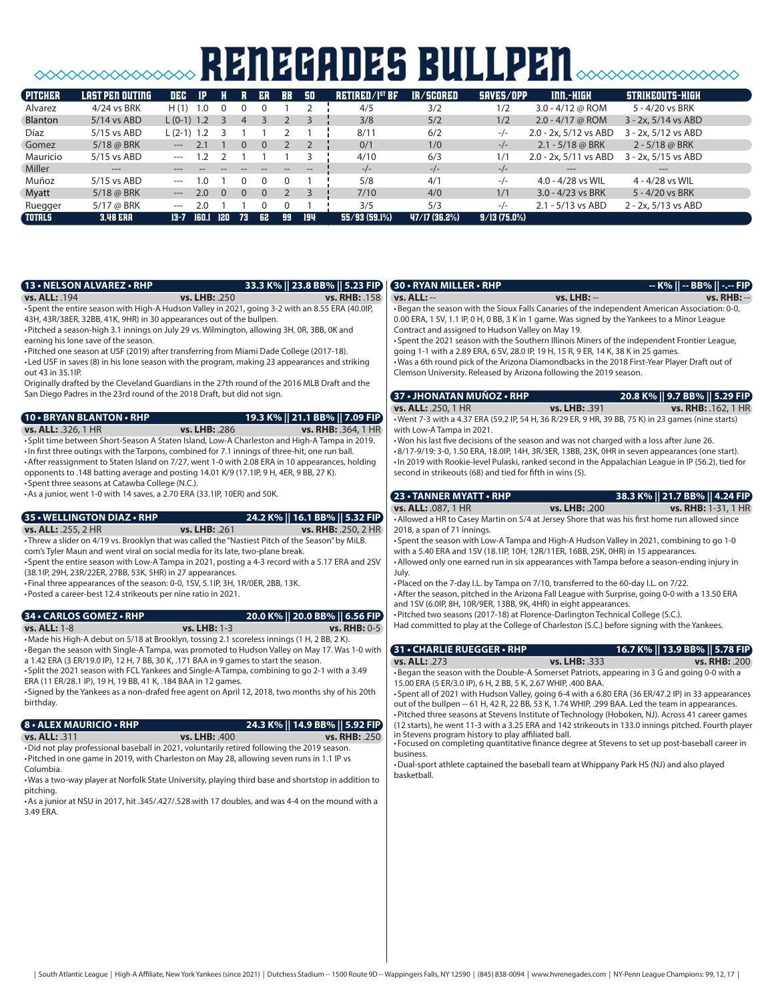# **SOOOOOOOOOOOOOOO RENEGADES BULLPEN**SOOOOOOOOOOO

| <b>PITCHER</b> | LAST PEN OUTING | DEC          | IP.   |     |    | ER | <b>BB</b> | 50  | RETIRED/I <sup>51</sup> BF | IR/SCORED     | SAVES/OPP      | INN.-HIGH             | STRIKEOUTS-HIGH        |
|----------------|-----------------|--------------|-------|-----|----|----|-----------|-----|----------------------------|---------------|----------------|-----------------------|------------------------|
| <b>Alvarez</b> | 4/24 vs BRK     | H(1)         | 1.0   |     |    |    |           |     | 4/5                        | 3/2           | 1/2            | 3.0 - $4/12$ @ ROM    | 5 - 4/20 vs BRK        |
| <b>Blanton</b> | $5/14$ vs ABD   | $L(0-1)$ 1.2 |       |     | 4  |    |           |     | 3/8                        | 5/2           | 1/2            | $2.0 - 4/17$ @ ROM    | $3 - 2x$ , 5/14 vs ABD |
| Díaz           | $5/15$ vs ABD   | $L(2-1)$ 1.2 |       |     |    |    |           |     | 8/11                       | 6/2           | $-/-$          | 2.0 - 2x, 5/12 vs ABD | $3 - 2x$ , 5/12 vs ABD |
| Gomez          | 5/18 @ BRK      | $---$        | 2.1   |     |    | ი  |           |     | 0/1                        | 1/0           | $-/-$          | $2.1 - 5/18$ @ BRK    | $2 - 5/18$ @ BRK       |
| Mauricio       | $5/15$ vs ABD   | $---$        |       |     |    |    |           |     | 4/10                       | 6/3           | 1/1            | 2.0 - 2x, 5/11 vs ABD | $3 - 2x$ , 5/15 vs ABD |
| Miller         | $\cdots$        |              |       |     |    |    |           | --  | $-/-$                      | $-/-$         | $-/-$          | ---                   | $---$                  |
| Muñoz          | 5/15 vs ABD     | $---$        | 1.0   |     |    |    |           |     | 5/8                        | 4/1           | $-/-$          | 4.0 - 4/28 vs WIL     | 4 - 4/28 vs WIL        |
| Myatt          | $5/18$ @ BRK    | $---$        | 2.0   | - 0 |    |    |           |     | 7/10                       | 4/0           | 1/1            | $3.0 - 4/23$ vs BRK   | 5 - 4/20 vs BRK        |
| Ruegger        | $5/17$ @ BRK    | ---          | 2.0   |     |    |    |           |     | 3/5                        | 5/3           | $-/-$          | 2.1 - 5/13 vs ABD     | 2 - 2x, 5/13 vs ABD    |
| <b>TOTALS</b>  | <b>3.48 ERA</b> | $13 - 7$     | 160.1 | 120 | 73 | 62 | 99        | 194 | 55/93(59.1%)               | 47/17 (36.2%) | $9/13(75.0\%)$ |                       |                        |

| 13 • NELSON ALVAREZ • RHP                                                                                                                                                                                                                                                                                                                                                                                                                                                                                                                                                                                                                                                                                                      |               | 33.3 K%    23.8 BB%    5.23 FIP                        | 30 • RYAN MILLER • RHP                                                                                                                                                                                                                                                                                                                                                                                                                                                                  |                              |                                                                                                                                                                                                                                                                                                                                                                                                                               |
|--------------------------------------------------------------------------------------------------------------------------------------------------------------------------------------------------------------------------------------------------------------------------------------------------------------------------------------------------------------------------------------------------------------------------------------------------------------------------------------------------------------------------------------------------------------------------------------------------------------------------------------------------------------------------------------------------------------------------------|---------------|--------------------------------------------------------|-----------------------------------------------------------------------------------------------------------------------------------------------------------------------------------------------------------------------------------------------------------------------------------------------------------------------------------------------------------------------------------------------------------------------------------------------------------------------------------------|------------------------------|-------------------------------------------------------------------------------------------------------------------------------------------------------------------------------------------------------------------------------------------------------------------------------------------------------------------------------------------------------------------------------------------------------------------------------|
| vs. ALL: 194<br>• Spent the entire season with High-A Hudson Valley in 2021, going 3-2 with an 8.55 ERA (40.0IP,<br>43H, 43R/38ER, 32BB, 41K, 9HR) in 30 appearances out of the bullpen.<br>• Pitched a season-high 3.1 innings on July 29 vs. Wilmington, allowing 3H, OR, 3BB, OK and<br>earning his lone save of the season.<br>• Pitched one season at USF (2019) after transferring from Miami Dade College (2017-18).<br>• Led USF in saves (8) in his lone season with the program, making 23 appearances and striking<br>out 43 in 35.1IP.<br>Originally drafted by the Cleveland Guardians in the 27th round of the 2016 MLB Draft and the<br>San Diego Padres in the 23rd round of the 2018 Draft, but did not sign. | vs. LHB: .250 | vs. RHB: .158                                          | $vs.$ ALL: $-$<br>0.00 ERA, 1 SV, 1.1 IP, 0 H, 0 BB, 3 K in 1 game. Was signed by the Yankees to a Minor League<br>Contract and assigned to Hudson Valley on May 19.<br>going 1-1 with a 2.89 ERA, 6 SV, 28.0 IP, 19 H, 15 R, 9 ER, 14 K, 38 K in 25 games.<br>• Was a 6th round pick of the Arizona Diamondbacks in the 2018 First-Year Player Draft out of<br>Clemson University. Released by Arizona following the 2019 season.<br>(37 • JHONATAN MUÑOZ • RHP<br>vs. ALL: .250, 1 HR | vs. LHB: --<br>vs. LHB: .391 | •Began the season with the Sioux Falls Canaries of the independent American Association: 0-0,<br>• Spent the 2021 season with the Southern Illinois Miners of the independent Frontier League,<br>20.8 K%    9.7 BB%    5.29 FIP<br><b>vs. RHB: .162, 1 HR</b>                                                                                                                                                                |
| <b>10 • BRYAN BLANTON • RHP</b>                                                                                                                                                                                                                                                                                                                                                                                                                                                                                                                                                                                                                                                                                                |               | 19.3 K%    21.1 BB%    7.09 FIP                        |                                                                                                                                                                                                                                                                                                                                                                                                                                                                                         |                              | . Went 7-3 with a 4.37 ERA (59.2 IP, 54 H, 36 R/29 ER, 9 HR, 39 BB, 75 K) in 23 games (nine starts)                                                                                                                                                                                                                                                                                                                           |
| <b>vs. ALL: .326, 1 HR</b><br>. Split time between Short-Season A Staten Island, Low-A Charleston and High-A Tampa in 2019.<br>. In first three outings with the Tarpons, combined for 7.1 innings of three-hit, one run ball.<br>• After reassignment to Staten Island on 7/27, went 1-0 with 2.08 ERA in 10 appearances, holding<br>opponents to .148 batting average and posting 14.01 K/9 (17.1lP, 9 H, 4ER, 9 BB, 27 K).<br>• Spent three seasons at Catawba College (N.C.).<br>• As a junior, went 1-0 with 14 saves, a 2.70 ERA (33.1IP, 10ER) and 50K.                                                                                                                                                                 | vs. LHB: .286 | <b>vs. RHB: .364, 1 HR</b>                             | with Low-A Tampa in 2021.<br>. Won his last five decisions of the season and was not charged with a loss after June 26.<br>second in strikeouts (68) and tied for fifth in wins (5).<br>23 • TANNER MYATT • RHP                                                                                                                                                                                                                                                                         |                              | •8/17-9/19: 3-0, 1.50 ERA, 18.0IP, 14H, 3R/3ER, 13BB, 23K, 0HR in seven appearances (one start).<br>· In 2019 with Rookie-level Pulaski, ranked second in the Appalachian League in IP (56.2), tied for                                                                                                                                                                                                                       |
|                                                                                                                                                                                                                                                                                                                                                                                                                                                                                                                                                                                                                                                                                                                                |               |                                                        | vs. ALL: .087, 1 HR                                                                                                                                                                                                                                                                                                                                                                                                                                                                     | vs. LHB: .200                | 38.3 K%    21.7 BB%    4.24 FIP<br>vs. RHB: 1-31, 1 HR                                                                                                                                                                                                                                                                                                                                                                        |
| 35 • WELLINGTON DIAZ • RHP<br>vs. ALL: .255, 2 HR<br>• Threw a slider on 4/19 vs. Brooklyn that was called the "Nastiest Pitch of the Season" by MiLB.<br>com's Tyler Maun and went viral on social media for its late, two-plane break.<br>• Spent the entire season with Low-A Tampa in 2021, posting a 4-3 record with a 5.17 ERA and 2SV<br>(38.1IP, 29H, 23R/22ER, 27BB, 53K, 5HR) in 27 appearances.<br>. Final three appearances of the season: 0-0, 1SV, 5.1IP, 3H, 1R/0ER, 2BB, 13K.<br>•Posted a career-best 12.4 strikeouts per nine ratio in 2021.                                                                                                                                                                 | vs. LHB: .261 | 24.2 K%    16.1 BB%    5.32 FIP<br>vs. RHB: .250, 2 HR | 2018, a span of 71 innings.<br>with a 5.40 ERA and 1SV (18.1IP, 10H, 12R/11ER, 16BB, 25K, 0HR) in 15 appearances.<br>July.<br>. Placed on the 7-day I.L. by Tampa on 7/10, transferred to the 60-day I.L. on 7/22.                                                                                                                                                                                                                                                                      |                              | • Allowed a HR to Casey Martin on 5/4 at Jersey Shore that was his first home run allowed since<br>• Spent the season with Low-A Tampa and High-A Hudson Valley in 2021, combining to go 1-0<br>• Allowed only one earned run in six appearances with Tampa before a season-ending injury in<br>• After the season, pitched in the Arizona Fall League with Surprise, going 0-0 with a 13.50 ERA                              |
| 34 • CARLOS GOMEZ • RHP                                                                                                                                                                                                                                                                                                                                                                                                                                                                                                                                                                                                                                                                                                        |               | 20.0 K%    20.0 BB%    6.56 FIP                        | and 1SV (6.0IP, 8H, 10R/9ER, 13BB, 9K, 4HR) in eight appearances.<br>. Pitched two seasons (2017-18) at Florence-Darlington Technical College (S.C.).                                                                                                                                                                                                                                                                                                                                   |                              |                                                                                                                                                                                                                                                                                                                                                                                                                               |
| <b>vs. ALL: 1-8</b><br>•Made his High-A debut on 5/18 at Brooklyn, tossing 2.1 scoreless innings (1 H, 2 BB, 2 K).<br>•Began the season with Single-A Tampa, was promoted to Hudson Valley on May 17, Was 1-0 with                                                                                                                                                                                                                                                                                                                                                                                                                                                                                                             | vs. LHB: 1-3  | <b>vs. RHB: 0-5</b>                                    | Had committed to play at the College of Charleston (S.C.) before signing with the Yankees.<br>31 . CHARLIE RUEGGER . RHP                                                                                                                                                                                                                                                                                                                                                                |                              | 16.7 K%    13.9 BB%    5.78 FIP                                                                                                                                                                                                                                                                                                                                                                                               |
| a 1.42 ERA (3 ER/19.0 IP), 12 H, 7 BB, 30 K, .171 BAA in 9 games to start the season.<br>• Split the 2021 season with FCL Yankees and Single-A Tampa, combining to go 2-1 with a 3.49<br>ERA (11 ER/28.1 IP), 19 H, 19 BB, 41 K, .184 BAA in 12 games.<br>• Signed by the Yankees as a non-drafed free agent on April 12, 2018, two months shy of his 20th<br>birthday.                                                                                                                                                                                                                                                                                                                                                        |               |                                                        | <b>vs. ALL: .273</b><br>15.00 ERA (5 ER/3.0 IP), 6 H, 2 BB, 5 K, 2.67 WHIP, .400 BAA.                                                                                                                                                                                                                                                                                                                                                                                                   | vs. LHB: .333                | vs. RHB: . 200<br>•Began the season with the Double-A Somerset Patriots, appearing in 3 G and going 0-0 with a<br>• Spent all of 2021 with Hudson Valley, going 6-4 with a 6.80 ERA (36 ER/47.2 IP) in 33 appearances<br>out of the bullpen -- 61 H, 42 R, 22 BB, 53 K, 1.74 WHIP, .299 BAA. Led the team in appearances.<br>• Pitched three seasons at Stevens Institute of Technology (Hoboken, NJ). Across 41 career games |
| <b>8 • ALEX MAURICIO • RHP</b><br>vs. ALL: .311<br>. Did not play professional baseball in 2021, voluntarily retired following the 2019 season.<br>. Pitched in one game in 2019, with Charleston on May 28, allowing seven runs in 1.1 IP vs<br>Columbia.<br>. Was a two-way player at Norfolk State University, playing third base and shortstop in addition to<br>pitching.<br>• As a junior at NSU in 2017, hit .345/.427/.528 with 17 doubles, and was 4-4 on the mound with a<br>3.49 ERA.                                                                                                                                                                                                                               | vs. LHB: .400 | 24.3 K%    14.9 BB%    5.92 FIP<br>vs. RHB: .250       | in Stevens program history to play affiliated ball.<br>business.<br>•Dual-sport athlete captained the baseball team at Whippany Park HS (NJ) and also played<br>basketball.                                                                                                                                                                                                                                                                                                             |                              | (12 starts), he went 11-3 with a 3.25 ERA and 142 strikeouts in 133.0 innings pitched. Fourth player<br>• Focused on completing quantitative finance degree at Stevens to set up post-baseball career in                                                                                                                                                                                                                      |
|                                                                                                                                                                                                                                                                                                                                                                                                                                                                                                                                                                                                                                                                                                                                |               |                                                        |                                                                                                                                                                                                                                                                                                                                                                                                                                                                                         |                              |                                                                                                                                                                                                                                                                                                                                                                                                                               |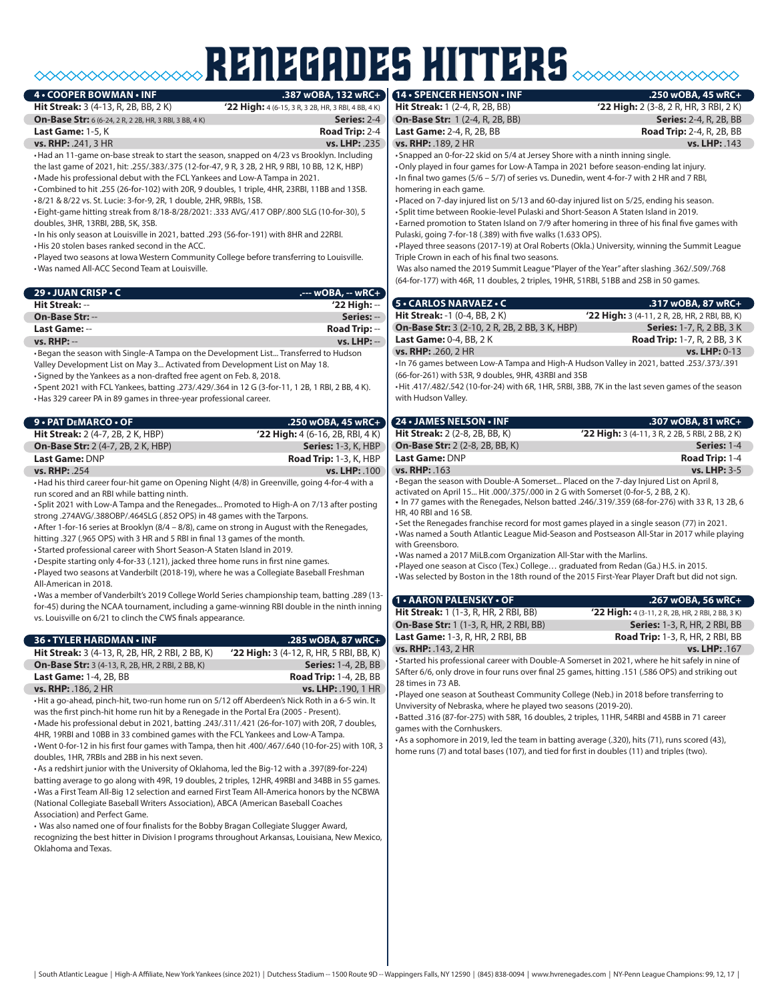# RENEGADES hitters

#### $\cdot$  **COOPER BOWMAN**  $\cdot$  **INF**

# **22 High:** 4 (6-15, 3 R, 3 2B, HR, 3 RBI, 4 BB, 4 K)

| <b>Hit Streak:</b> $3(4-13, R, 2B, BB, 2K)$                   |  |
|---------------------------------------------------------------|--|
| <b>On-Base Str:</b> 6 (6-24, 2 R, 2 2B, HR, 3 RBI, 3 BB, 4 K) |  |
| Last Game: $1-5.$ K                                           |  |
| <b>vs. RHP:</b> $.241.3$ HR                                   |  |

**Series:** 2-4 **Road Trip: 2-4<br>vs. LHP: .235** 

•Had an 11-game on-base streak to start the season, snapped on 4/23 vs Brooklyn. Including the last game of 2021, hit: .255/.383/.375 (12-for-47, 9 R, 3 2B, 2 HR, 9 RBI, 10 BB, 12 K, HBP) •Made his professional debut with the FCL Yankees and Low-A Tampa in 2021.

•Combined to hit .255 (26-for-102) with 20R, 9 doubles, 1 triple, 4HR, 23RBI, 11BB and 13SB. •8/21 & 8/22 vs. St. Lucie: 3-for-9, 2R, 1 double, 2HR, 9RBIs, 1SB.

• Eight-game hitting streak from 8/18-8/28/2021: .333 AVG/.417 OBP/.800 SLG (10-for-30), 5 doubles, 3HR, 13RBI, 2BB, 5K, 3SB.

•In his only season at Louisville in 2021, batted .293 (56-for-191) with 8HR and 22RBI.

•His 20 stolen bases ranked second in the ACC.

•Played two seasons at Iowa Western Community College before transferring to Louisville. •Was named All-ACC Second Team at Louisville.

| 29 • JUAN CRISP • C    |                      |
|------------------------|----------------------|
| Hit Streak: --         | $'22$ High: $-$      |
| <b>On-Base Str: --</b> | Series: --           |
| Last Game: --          | <b>Road Trip:</b> -- |
| $vs. RHP: --$          | $vs.$ LHP: $-$       |

•Began the season with Single-A Tampa on the Development List... Transferred to Hudson Valley Development List on May 3... Activated from Development List on May 18. • Signed by the Yankees as a non-drafted free agent on Feb. 8, 2018.

• Spent 2021 with FCL Yankees, batting .273/.429/.364 in 12 G (3-for-11, 1 2B, 1 RBI, 2 BB, 4 K). •Has 329 career PA in 89 games in three-year professional career.

| 9 • PAT DEMARCO • OF                      | $.250$ wOBA, 45 wRC+                |
|-------------------------------------------|-------------------------------------|
| <b>Hit Streak:</b> 2 (4-7, 2B, 2 K, HBP)  | $'$ 22 High: 4 (6-16, 2B, RBI, 4 K) |
| <b>On-Base Str:</b> 2 (4-7, 2B, 2 K, HBP) | <b>Series:</b> 1-3, K, HBP          |
| Last Game: DNP                            | <b>Road Trip:</b> 1-3, K, HBP       |
| <b>vs. RHP: .254</b>                      | vs. LHP: . 100                      |

•Had his third career four-hit game on Opening Night (4/8) in Greenville, going 4-for-4 with a run scored and an RBI while batting ninth.

• Split 2021 with Low-A Tampa and the Renegades... Promoted to High-A on 7/13 after posting strong .274AVG/.388OBP/.464SLG (.852 OPS) in 48 games with the Tarpons.

•After 1-for-16 series at Brooklyn (8/4 – 8/8), came on strong in August with the Renegades, hitting .327 (.965 OPS) with 3 HR and 5 RBI in final 13 games of the month.

• Started professional career with Short Season-A Staten Island in 2019.

•Despite starting only 4-for-33 (.121), jacked three home runs in first nine games.

•Played two seasons at Vanderbilt (2018-19), where he was a Collegiate Baseball Freshman All-American in 2018.

•Was a member of Vanderbilt's 2019 College World Series championship team, batting .289 (13 for-45) during the NCAA tournament, including a game-winning RBI double in the ninth inning vs. Louisville on 6/21 to clinch the CWS finals appearance.

| 36 • TYLER HARDMAN • INF                                | .285 wOBA, 87 wRC+                        |
|---------------------------------------------------------|-------------------------------------------|
| <b>Hit Streak:</b> 3 (4-13, R, 2B, HR, 2 RBI, 2 BB, K)  | $'22$ High: 3 (4-12, R, HR, 5 RBI, BB, K) |
| <b>On-Base Str:</b> 3 (4-13, R, 2B, HR, 2 RBI, 2 BB, K) | <b>Series: 1-4, 2B, BB</b>                |
| <b>Last Game: 1-4, 2B, BB</b>                           | <b>Road Trip:</b> 1-4, 2B, BB             |
| <b>vs. RHP: . 186, 2 HR</b>                             | <b>vs. LHP: . 190. 1 HR</b>               |

•Hit a go-ahead, pinch-hit, two-run home run on 5/12 off Aberdeen's Nick Roth in a 6-5 win. It was the first pinch-hit home run hit by a Renegade in the Portal Era (2005 - Present). •Made his professional debut in 2021, batting .243/.311/.421 (26-for-107) with 20R, 7 doubles,

4HR, 19RBI and 10BB in 33 combined games with the FCL Yankees and Low-A Tampa. •Went 0-for-12 in his first four games with Tampa, then hit .400/.467/.640 (10-for-25) with 10R, 3 doubles, 1HR, 7RBIs and 2BB in his next seven.

•As a redshirt junior with the University of Oklahoma, led the Big-12 with a .397(89-for-224) batting average to go along with 49R, 19 doubles, 2 triples, 12HR, 49RBI and 34BB in 55 games. •Was a First Team All-Big 12 selection and earned First Team All-America honors by the NCBWA (National Collegiate Baseball Writers Association), ABCA (American Baseball Coaches Association) and Perfect Game.

• Was also named one of four finalists for the Bobby Bragan Collegiate Slugger Award, recognizing the best hitter in Division I programs throughout Arkansas, Louisiana, New Mexico, Oklahoma and Texas.

#### **14 • SPENCER HENSON • INF .250 wOBA, 45 wRC+**

**Hit Streak:** 1 (2-4, R, 2B, BB) **'22 High:** 2 (3-8, 2 R, HR, 3 RBI, 2 K) **On-Base Str:** 1 (2-4, R, 2B, BB) **Series:** 2-4, R, 2B, BB

**Last Game:** 2-4, R, 2B, BB **Road Trip:** 2-4, R, 2B, BB **vs. RHP:** .189, 2 HR **vs. LHP:** .143

• Snapped an 0-for-22 skid on 5/4 at Jersey Shore with a ninth inning single.

•Only played in four games for Low-A Tampa in 2021 before season-ending lat injury. •In final two games (5/6 – 5/7) of series vs. Dunedin, went 4-for-7 with 2 HR and 7 RBI, homering in each game.

•Placed on 7-day injured list on 5/13 and 60-day injured list on 5/25, ending his season. • Split time between Rookie-level Pulaski and Short-Season A Staten Island in 2019.

• Earned promotion to Staten Island on 7/9 after homering in three of his final five games with Pulaski, going 7-for-18 (.389) with five walks (1.633 OPS).

•Played three seasons (2017-19) at Oral Roberts (Okla.) University, winning the Summit League Triple Crown in each of his final two seasons.

Was also named the 2019 Summit League "Player of the Year" after slashing .362/.509/.768 (64-for-177) with 46R, 11 doubles, 2 triples, 19HR, 51RBI, 51BB and 2SB in 50 games.

| <b>5 • CARLOS NARVAEZ • C</b>                                                            | .317 wOBA, 87 wRC+                            |
|------------------------------------------------------------------------------------------|-----------------------------------------------|
| <b>Hit Streak: -1 (0-4, BB, 2 K)</b>                                                     | '22 High: 3 (4-11, 2 R, 2B, HR, 2 RBI, BB, K) |
| <b>On-Base Str:</b> 3 (2-10, 2 R, 2B, 2 BB, 3 K, HBP)                                    | <b>Series: 1-7, R, 2 BB, 3 K</b>              |
| <b>Last Game: 0-4, BB, 2 K</b>                                                           | <b>Road Trip:</b> 1-7, R, 2 BB, 3 K           |
| <b>vs. RHP: .260, 2 HR</b>                                                               | $vs.$ LHP: $0-13$                             |
| -In 76 games between Low-A Tampa and High-A Hudson Valley in 2021, batted .253/.373/.391 |                                               |
| (66-for-261) with 53R, 9 doubles, 9HR, 43RBI and 3SB                                     |                                               |

•Hit .417/.482/.542 (10-for-24) with 6R, 1HR, 5RBI, 3BB, 7K in the last seven games of the season with Hudson Valley.

| 24 • JAMES NELSON • INF                                                                         | .307 wOBA, 81 wRC+                              |  |
|-------------------------------------------------------------------------------------------------|-------------------------------------------------|--|
| <b>Hit Streak:</b> 2 (2-8, 2B, BB, K)                                                           | '22 High: 3 (4-11, 3 R, 2 2B, 5 RBI, 2 BB, 2 K) |  |
| <b>On-Base Str:</b> 2 (2-8, 2B, BB, K)                                                          | Series: 1-4                                     |  |
| <b>Last Game: DNP</b>                                                                           | Road Trip: 1-4                                  |  |
| vs. RHP: . 163                                                                                  | vs. LHP: 3-5                                    |  |
| •Began the season with Double-A Somerset Placed on the 7-day Injured List on April 8,           |                                                 |  |
| activated on April 15 Hit .000/.375/.000 in 2 G with Somerset (0-for-5, 2 BB, 2 K).             |                                                 |  |
| . In 77 games with the Renegades, Nelson batted .246/.319/.359 (68-for-276) with 33 R, 13 2B, 6 |                                                 |  |
| 110.400111600                                                                                   |                                                 |  |

HR, 40 RBI and 16 SB.

• Set the Renegades franchise record for most games played in a single season (77) in 2021. •Was named a South Atlantic League Mid-Season and Postseason All-Star in 2017 while playing with Greensboro.

•Was named a 2017 MiLB.com Organization All-Star with the Marlins.

•Played one season at Cisco (Tex.) College… graduated from Redan (Ga.) H.S. in 2015. •Was selected by Boston in the 18th round of the 2015 First-Year Player Draft but did not sign.

| <b>1 • AARON PALENSKY • OF</b>                | .267 wOBA, 56 wRC+                                |
|-----------------------------------------------|---------------------------------------------------|
| <b>Hit Streak:</b> 1 (1-3, R, HR, 2 RBI, BB)  | '22 High: 4 (3-11, 2 R, 2B, HR, 2 RBI, 2 BB, 3 K) |
| <b>On-Base Str:</b> 1 (1-3, R, HR, 2 RBI, BB) | <b>Series: 1-3, R, HR, 2 RBI, BB</b>              |
| <b>Last Game: 1-3, R, HR, 2 RBI, BB</b>       | <b>Road Trip:</b> 1-3, R, HR, 2 RBI, BB           |
| <b>vs. RHP:</b> .143, 2 HR                    | vs. LHP: . 167                                    |

• Started his professional career with Double-A Somerset in 2021, where he hit safely in nine of SAfter 6/6, only drove in four runs over final 25 games, hitting .151 (.586 OPS) and striking out 28 times in 73 AB.

•Played one season at Southeast Community College (Neb.) in 2018 before transferring to Unviversity of Nebraska, where he played two seasons (2019-20).

•Batted .316 (87-for-275) with 58R, 16 doubles, 2 triples, 11HR, 54RBI and 45BB in 71 career games with the Cornhuskers.

•As a sophomore in 2019, led the team in batting average (.320), hits (71), runs scored (43), home runs (7) and total bases (107), and tied for first in doubles (11) and triples (two).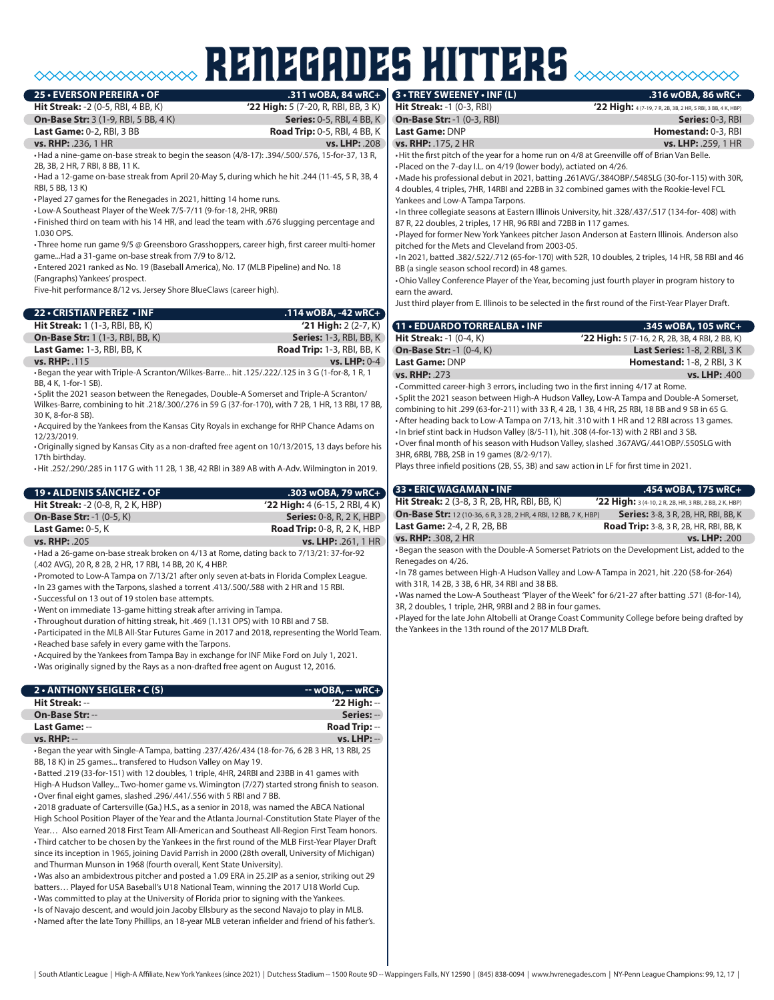#### **25 • EVERSON PEREIRA • OF**

**Hit Streak:** -2 (0-5, RBI, 4 BB, K) **'22 High:** 5 (7-20, R, RBI, BB, 3 K) **On-Base Str:** 3 (1-9, RBI, 5 BB, 4 K) **Series:** 0-5, RBI, 4 BB, K **Last Game:** 0-2, RBI, 3 BB **Road Trip:** 0-5, RBI, 4 BB, K

renegades hitters

**vs. RHP:** .236, 1 HR **vs. LHP:** .208

•Had a nine-game on-base streak to begin the season (4/8-17): .394/.500/.576, 15-for-37, 13 R, 2B, 3B, 2 HR, 7 RBI, 8 BB, 11 K.

•Had a 12-game on-base streak from April 20-May 5, during which he hit .244 (11-45, 5 R, 3B, 4 RBI, 5 BB, 13 K)

•Played 27 games for the Renegades in 2021, hitting 14 home runs.

• Low-A Southeast Player of the Week 7/5-7/11 (9-for-18, 2HR, 9RBI)

• Finished third on team with his 14 HR, and lead the team with .676 slugging percentage and 1.030 OPS.

• Three home run game 9/5 @ Greensboro Grasshoppers, career high, first career multi-homer game...Had a 31-game on-base streak from 7/9 to 8/12.

• Entered 2021 ranked as No. 19 (Baseball America), No. 17 (MLB Pipeline) and No. 18

(Fangraphs) Yankees' prospect.

Five-hit performance 8/12 vs. Jersey Shore BlueClaws (career high).

| 22 • CRISTIAN PEREZ • INF               | $.114$ wOBA, -42 wRC+             |
|-----------------------------------------|-----------------------------------|
| <b>Hit Streak:</b> 1 (1-3, RBI, BB, K)  | $'21$ High: $2(2-7, K)$           |
| <b>On-Base Str:</b> 1 (1-3, RBI, BB, K) | <b>Series: 1-3, RBI, BB, K)</b>   |
| <b>Last Game: 1-3, RBI, BB, K</b>       | <b>Road Trip:</b> 1-3, RBI, BB, K |
| <b>vs. RHP: .115</b>                    | vs. LHP: $0-4$                    |

•Began the year with Triple-A Scranton/Wilkes-Barre... hit .125/.222/.125 in 3 G (1-for-8, 1 R, 1 BB, 4 K, 1-for-1 SB).

• Split the 2021 season between the Renegades, Double-A Somerset and Triple-A Scranton/ Wilkes-Barre, combining to hit .218/.300/.276 in 59 G (37-for-170), with 7 2B, 1 HR, 13 RBI, 17 BB, 30 K, 8-for-8 SB).

•Acquired by the Yankees from the Kansas City Royals in exchange for RHP Chance Adams on 12/23/2019.

•Originally signed by Kansas City as a non-drafted free agent on 10/13/2015, 13 days before his 17th birthday.

•Hit .252/.290/.285 in 117 G with 11 2B, 1 3B, 42 RBI in 389 AB with A-Adv. Wilmington in 2019.

| 19 • ALDENIS SÁNCHEZ • OF                | .303 wOBA, 79 wRC+                 |
|------------------------------------------|------------------------------------|
| <b>Hit Streak: -2 (0-8, R, 2 K, HBP)</b> | $'22$ High: 4 (6-15, 2 RBI, 4 K)   |
| <b>On-Base Str: -1 (0-5, K)</b>          | <b>Series: 0-8, R, 2 K, HBP</b>    |
| Last Game: $0-5.$ K                      | <b>Road Trip:</b> 0-8, R, 2 K, HBP |
| <b>vs. RHP: .205</b>                     | vs. LHP: .261, 1 HR                |

•Had a 26-game on-base streak broken on 4/13 at Rome, dating back to 7/13/21: 37-for-92 (.402 AVG), 20 R, 8 2B, 2 HR, 17 RBI, 14 BB, 20 K, 4 HBP.

•Promoted to Low-A Tampa on 7/13/21 after only seven at-bats in Florida Complex League. •In 23 games with the Tarpons, slashed a torrent .413/.500/.588 with 2 HR and 15 RBI.

• Successful on 13 out of 19 stolen base attempts.

•Went on immediate 13-game hitting streak after arriving in Tampa.

• Throughout duration of hitting streak, hit .469 (1.131 OPS) with 10 RBI and 7 SB.

•Participated in the MLB All-Star Futures Game in 2017 and 2018, representing the World Team. •Reached base safely in every game with the Tarpons.

•Acquired by the Yankees from Tampa Bay in exchange for INF Mike Ford on July 1, 2021.

•Was originally signed by the Rays as a non-drafted free agent on August 12, 2016.

| $2 \cdot$ ANTHONY SEIGLER $\cdot$ C (S) | $-$ wOBA, $-$ wRC+   |
|-----------------------------------------|----------------------|
| Hit Streak: --                          | $'22$ High: $-$      |
| <b>On-Base Str: --</b>                  | Series: --           |
| Last Game: --                           | <b>Road Trip: --</b> |
| $vs. RHP: --$                           | $vs.$ LHP: $-$       |

•Began the year with Single-A Tampa, batting .237/.426/.434 (18-for-76, 6 2B 3 HR, 13 RBI, 25 BB, 18 K) in 25 games... transfered to Hudson Valley on May 19.

•Batted .219 (33-for-151) with 12 doubles, 1 triple, 4HR, 24RBI and 23BB in 41 games with High-A Hudson Valley... Two-homer game vs. Wimington (7/27) started strong finish to season. •Over final eight games, slashed .296/.441/.556 with 5 RBI and 7 BB.

•2018 graduate of Cartersville (Ga.) H.S., as a senior in 2018, was named the ABCA National High School Position Player of the Year and the Atlanta Journal-Constitution State Player of the Year… Also earned 2018 First Team All-American and Southeast All-Region First Team honors. • Third catcher to be chosen by the Yankees in the first round of the MLB First-Year Player Draft since its inception in 1965, joining David Parrish in 2000 (28th overall, University of Michigan) and Thurman Munson in 1968 (fourth overall, Kent State University).

•Was also an ambidextrous pitcher and posted a 1.09 ERA in 25.2IP as a senior, striking out 29 batters… Played for USA Baseball's U18 National Team, winning the 2017 U18 World Cup. •Was committed to play at the University of Florida prior to signing with the Yankees. •Is of Navajo descent, and would join Jacoby Ellsbury as the second Navajo to play in MLB.

•Named after the late Tony Phillips, an 18-year MLB veteran infielder and friend of his father's.

#### **3 • TREY SWEENEY • INF (L) .316 wOBA, 86 wRC+**

| <b>Hit Streak: -1 (0-3, RBI)</b>                                                              | '22 High: 4(7-19, 7 R, 2B, 3B, 2 HR, 5 RBI, 3 BB, 4 K, HBP) |  |
|-----------------------------------------------------------------------------------------------|-------------------------------------------------------------|--|
| <b>On-Base Str: -1 (0-3, RBI)</b>                                                             | <b>Series: 0-3, RBI</b>                                     |  |
| Last Game: DNP                                                                                | <b>Homestand: 0-3, RBI</b>                                  |  |
| vs. RHP: .175, 2 HR                                                                           | <b>vs. LHP: .259, 1 HR</b>                                  |  |
| . Hit the first pitch of the year for a home run on 4/8 at Greenville off of Brian Van Belle. |                                                             |  |
| . Placed on the 7-day I.L. on 4/19 (lower body), actiated on 4/26.                            |                                                             |  |
| .Made his professional debut in 2021, batting .261AVG/.384OBP/.548SLG (30-for-115) with 30R,  |                                                             |  |

4 doubles, 4 triples, 7HR, 14RBI and 22BB in 32 combined games with the Rookie-level FCL Yankees and Low-A Tampa Tarpons.

•In three collegiate seasons at Eastern Illinois University, hit .328/.437/.517 (134-for- 408) with 87 R, 22 doubles, 2 triples, 17 HR, 96 RBI and 72BB in 117 games.

•Played for former New York Yankees pitcher Jason Anderson at Eastern Illinois. Anderson also pitched for the Mets and Cleveland from 2003-05.

•In 2021, batted .382/.522/.712 (65-for-170) with 52R, 10 doubles, 2 triples, 14 HR, 58 RBI and 46 BB (a single season school record) in 48 games.

•Ohio Valley Conference Player of the Year, becoming just fourth player in program history to earn the award.

Just third player from E. Illinois to be selected in the first round of the First-Year Player Draft.

| 11 . EDUARDO TORREALBA . INF                | .345 wOBA, 105 wRC+                             |
|---------------------------------------------|-------------------------------------------------|
| <b>Hit Streak: -1 <math>(0-4, K)</math></b> | '22 High: 5 (7-16, 2 R, 2B, 3B, 4 RBI, 2 BB, K) |
| <b>On-Base Str: -1 (0-4, K)</b>             | <b>Last Series: 1-8, 2 RBI, 3 K</b>             |
| Last Game: DNP                              | <b>Homestand: 1-8, 2 RBI, 3 K</b>               |
| vs. RHP: .273                               | vs. LHP: 400                                    |

•Committed career-high 3 errors, including two in the first inning 4/17 at Rome.

• Split the 2021 season between High-A Hudson Valley, Low-A Tampa and Double-A Somerset, combining to hit .299 (63-for-211) with 33 R, 4 2B, 1 3B, 4 HR, 25 RBI, 18 BB and 9 SB in 65 G. •After heading back to Low-A Tampa on 7/13, hit .310 with 1 HR and 12 RBI across 13 games. •In brief stint back in Hudson Valley (8/5-11), hit .308 (4-for-13) with 2 RBI and 3 SB. •Over final month of his season with Hudson Valley, slashed .367AVG/.441OBP/.550SLG with

3HR, 6RBI, 7BB, 2SB in 19 games (8/2-9/17).

Plays three infield positions (2B, SS, 3B) and saw action in LF for first time in 2021.

| 33 - ERIC WAGAMAN - INF                                                 | .454 wOBA, 175 wRC+                                    |
|-------------------------------------------------------------------------|--------------------------------------------------------|
| <b>Hit Streak:</b> 2 (3-8, 3 R, 2B, HR, RBI, BB, K)                     | '22 High: 3 (4-10, 2 R, 2B, HR, 3 RBI, 2 BB, 2 K, HBP) |
| <b>On-Base Str:</b> 12 (10-36, 6 R, 3 2B, 2 HR, 4 RBI, 12 BB, 7 K, HBP) | <b>Series:</b> 3-8, 3 R, 2B, HR, RBI, BB, K            |
| <b>Last Game: 2-4, 2 R, 2B, BB</b>                                      | <b>Road Trip:</b> 3-8, 3 R, 2B, HR, RBI, BB, K         |
| <b>vs. RHP: .308, 2 HR</b>                                              | vs. LHP: .200                                          |

•Began the season with the Double-A Somerset Patriots on the Development List, added to the Renegades on 4/26.

•In 78 games between High-A Hudson Valley and Low-A Tampa in 2021, hit .220 (58-for-264) with 31R, 14 2B, 3 3B, 6 HR, 34 RBI and 38 BB.

•Was named the Low-A Southeast *"*Player of the Week" for 6/21-27 after batting .571 (8-for-14), 3R, 2 doubles, 1 triple, 2HR, 9RBI and 2 BB in four games.

•Played for the late John Altobelli at Orange Coast Community College before being drafted by the Yankees in the 13th round of the 2017 MLB Draft.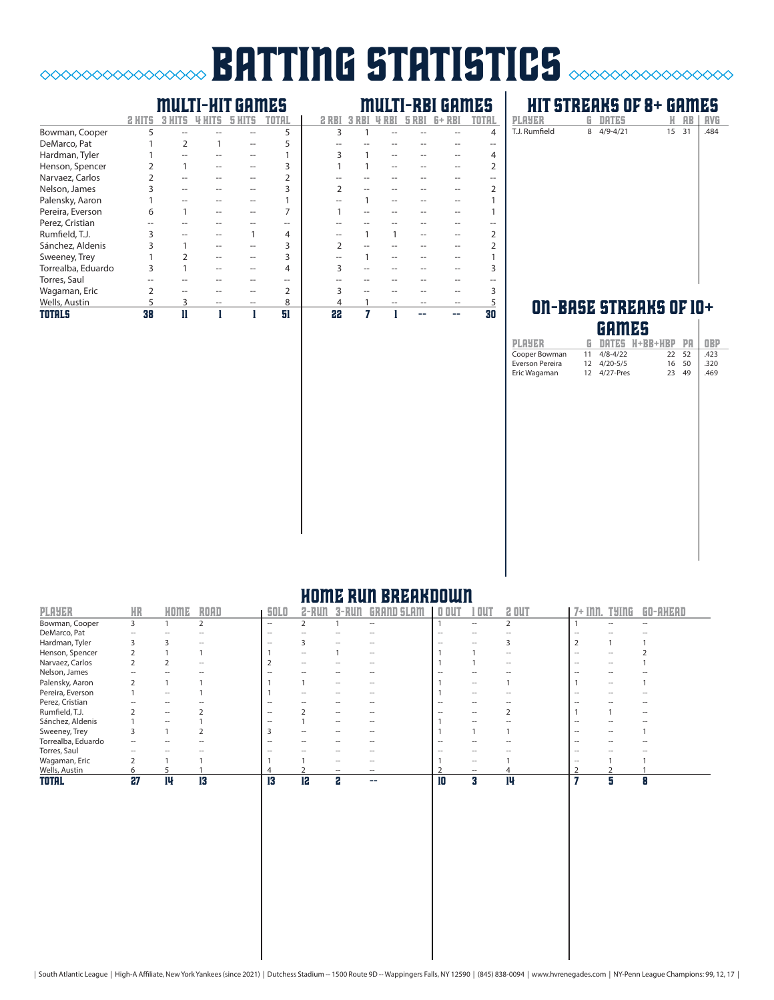# **BATTING STATISTICS**  $\alpha$

# multi-hit games multi-rbi games

 $\begin{picture}(150,10) \put(0,0){\vector(1,0){10}} \put(15,0){\vector(1,0){10}} \put(15,0){\vector(1,0){10}} \put(15,0){\vector(1,0){10}} \put(15,0){\vector(1,0){10}} \put(15,0){\vector(1,0){10}} \put(15,0){\vector(1,0){10}} \put(15,0){\vector(1,0){10}} \put(15,0){\vector(1,0){10}} \put(15,0){\vector(1,0){10}} \put(15,0){\vector(1,0){10}} \put(15,0){\vector($ 

| <b>TOTALS</b>      | 38 |  | 51             | 22 |  |  | 30 |
|--------------------|----|--|----------------|----|--|--|----|
| Wells, Austin      | 5  |  | 8              |    |  |  |    |
| Wagaman, Eric      |    |  | $\overline{2}$ |    |  |  |    |
| Torres, Saul       |    |  |                |    |  |  |    |
| Torrealba, Eduardo |    |  | 4              |    |  |  |    |
| Sweeney, Trey      |    |  | 3              |    |  |  |    |
| Sánchez, Aldenis   |    |  | 3              |    |  |  |    |
| Rumfield, T.J.     |    |  | 4              |    |  |  |    |
| Perez, Cristian    |    |  |                |    |  |  |    |
| Pereira, Everson   | 6  |  |                |    |  |  |    |
| Palensky, Aaron    |    |  |                |    |  |  |    |
| Nelson, James      |    |  | 3              |    |  |  |    |
| Narvaez, Carlos    |    |  |                |    |  |  |    |
| Henson, Spencer    |    |  |                |    |  |  |    |
| Hardman, Tyler     |    |  |                |    |  |  |    |
| DeMarco, Pat       |    |  |                |    |  |  |    |
| Bowman, Cooper     | 5  |  | 5              | 3  |  |  |    |
|                    |    |  |                |    |  |  |    |

## **HIT STREAKS OF 8+ GAMES**<br>PLAYER G DATES H AB | AVG **PLAYER G DATES H AB AVG**<br>T.J. Rumfield 8 4/9-4/21 15 31 .484

|               | ------     | -- |       |      |
|---------------|------------|----|-------|------|
| T.J. Rumfield | 8 4/9-4/21 |    | 15 31 | .484 |
|               |            |    |       |      |
|               |            |    |       |      |
|               |            |    |       |      |
|               |            |    |       |      |
|               |            |    |       |      |
|               |            |    |       |      |
|               |            |    |       |      |
|               |            |    |       |      |
|               |            |    |       |      |
|               |            |    |       |      |
|               |            |    |       |      |
|               |            |    |       |      |
|               |            |    |       |      |

#### ON-BASE STREAKS OF 10+ games

|                 |    | .            |                   |    |            |
|-----------------|----|--------------|-------------------|----|------------|
| <b>PLAYER</b>   | G. |              | DATES H+BB+HBP PA |    | <b>OBP</b> |
| Cooper Bowman   | 11 | $4/8 - 4/22$ | 22                | 52 | .423       |
| Everson Pereira |    | 12 4/20-5/5  | 16                | 50 | .320       |
| Eric Wagaman    | 12 | $4/27$ -Pres | 23                | 49 | .469       |
|                 |    |              |                   |    |            |
|                 |    |              |                   |    |            |
|                 |    |              |                   |    |            |
|                 |    |              |                   |    |            |
|                 |    |              |                   |    |            |
|                 |    |              |                   |    |            |
|                 |    |              |                   |    |            |
|                 |    |              |                   |    |            |
|                 |    |              |                   |    |            |
|                 |    |              |                   |    |            |
|                 |    |              |                   |    |            |
|                 |    |              |                   |    |            |
|                 |    |              |                   |    |            |
|                 |    |              |                   |    |            |
|                 |    |              |                   |    |            |
|                 |    |              |                   |    |            |
|                 |    |              |                   |    |            |
|                 |    |              |                   |    |            |
|                 |    |              |                   |    |            |
|                 |    |              |                   |    |            |
|                 |    |              |                   |    |            |

# home run breakdown

| <b>PLAYER</b>      | <b>HR</b>      | HOME | <b>ROAD</b> | <b>SOLO</b>       |                          |                   |                          | $0$ OUT           | OU                       | 2 OUT | $7+$ Inn.         | TYINE             | GO-AHEAD          |
|--------------------|----------------|------|-------------|-------------------|--------------------------|-------------------|--------------------------|-------------------|--------------------------|-------|-------------------|-------------------|-------------------|
| Bowman, Cooper     | 3              |      |             | $\hspace{0.05cm}$ |                          |                   | $ -$                     |                   | $\hspace{0.05cm}$        |       |                   |                   | $\hspace{0.05cm}$ |
| DeMarco, Pat       |                |      |             | $\hspace{0.05cm}$ |                          |                   |                          | $\hspace{0.05cm}$ | $\overline{\phantom{a}}$ |       | --                |                   |                   |
| Hardman, Tyler     |                |      |             | $\hspace{0.05cm}$ |                          |                   |                          | -                 |                          |       |                   |                   |                   |
| Henson, Spencer    |                |      |             |                   | $\overline{\phantom{a}}$ |                   | $\overline{a}$           |                   |                          |       | $\hspace{0.05cm}$ |                   |                   |
| Narvaez, Carlos    |                |      |             |                   | $\hspace{0.05cm}$        |                   |                          |                   |                          | --    | --                | $\hspace{0.05cm}$ |                   |
| Nelson, James      |                |      |             | --                |                          |                   |                          | --                | $\overline{\phantom{a}}$ |       | $\hspace{0.05cm}$ |                   |                   |
| Palensky, Aaron    |                |      |             |                   |                          |                   |                          |                   | $ -$                     |       |                   | $\sim$            |                   |
| Pereira, Everson   |                | $ -$ |             |                   | $\overline{\phantom{a}}$ | --                |                          |                   | $\hspace{0.05cm}$        |       | $\hspace{0.05cm}$ |                   |                   |
| Perez, Cristian    |                | --   |             | $\hspace{0.05cm}$ |                          | --                | $\overline{\phantom{a}}$ | $\hspace{0.05cm}$ | $- -$                    |       | $\sim$            |                   | --                |
| Rumfield, T.J.     |                | $ -$ |             | $\hspace{0.05cm}$ |                          | $\hspace{0.05cm}$ | $\overline{\phantom{a}}$ |                   | --                       |       |                   |                   | --                |
| Sánchez, Aldenis   |                | --   |             |                   |                          | $\hspace{0.05cm}$ | $\overline{\phantom{a}}$ |                   | --                       |       |                   |                   |                   |
| Sweeney, Trey      |                |      |             |                   | --                       |                   |                          |                   |                          |       | --                |                   |                   |
| Torrealba, Eduardo |                |      |             | $\sim$            |                          |                   |                          | --                |                          |       |                   |                   |                   |
| Torres, Saul       |                |      |             |                   |                          |                   |                          |                   |                          |       | $\hspace{0.05cm}$ |                   |                   |
| Wagaman, Eric      | $\overline{2}$ |      |             |                   |                          |                   |                          |                   | $\hspace{0.05cm}$        |       | $\hspace{0.05cm}$ |                   |                   |
| Wells, Austin      |                |      |             |                   |                          |                   | $\overline{\phantom{a}}$ |                   | $\hspace{0.05cm}$        |       |                   |                   |                   |
| <b>TOTAL</b>       | 27             | 14   | 13          | 13                | 12                       | 2                 | --                       | 10                | я                        | 14    |                   | я                 | 8                 |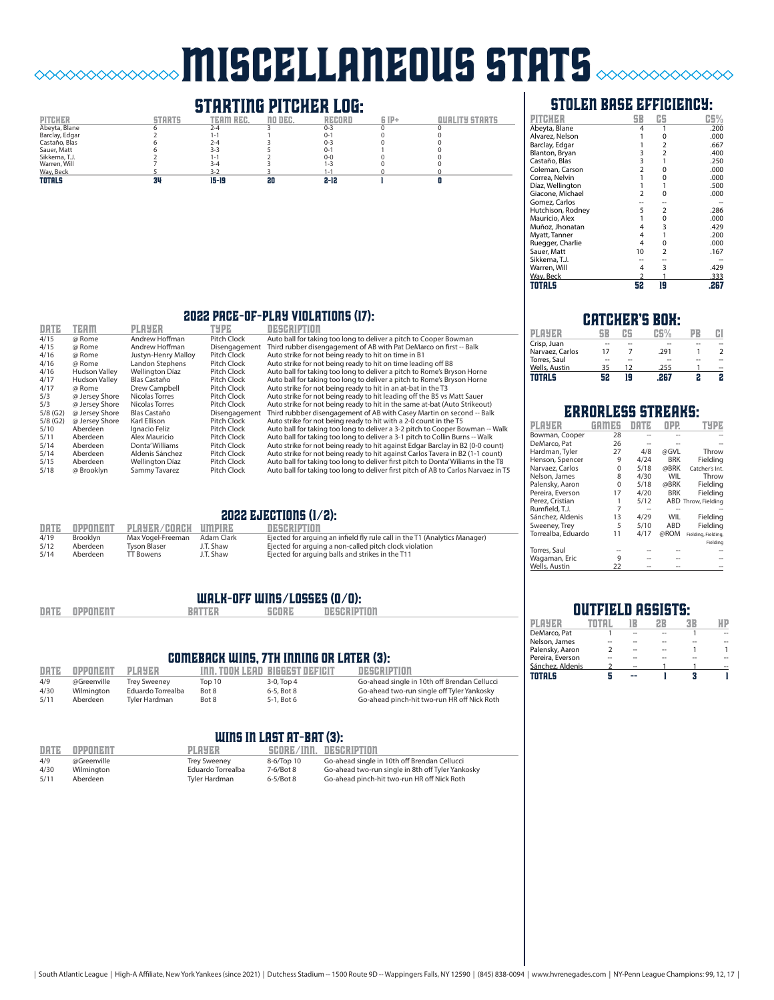# miscellaneous stats  $\sim$

# **STARTING PITCHER LOG:**<br>TEAM REC. NO DEC. RECORD

 $\Diamond$ 



### stolen base efficiency:

|                   | 5B             | CS             | CS%  |
|-------------------|----------------|----------------|------|
| Abeyta, Blane     | 4              | 1              | .200 |
| Alvarez, Nelson   |                | 0              | .000 |
| Barclay, Edgar    |                | 2              | .667 |
| Blanton, Bryan    | 3              | 2              | .400 |
| Castaño, Blas     | 3              | 1              | .250 |
| Coleman, Carson   | $\overline{2}$ | 0              | .000 |
| Correa, Nelvin    | 1              | 0              | .000 |
| Díaz, Wellington  |                |                | .500 |
| Giacone, Michael  | $\overline{2}$ | O              | .000 |
| Gomez, Carlos     |                |                |      |
| Hutchison, Rodney | 5              | 2              | .286 |
| Mauricio, Alex    |                | $\Omega$       | .000 |
| Muñoz, Jhonatan   | 4              | 3              | .429 |
| Myatt, Tanner     | 4              | 1              | .200 |
| Ruegger, Charlie  | 4              | 0              | .000 |
| Sauer, Matt       | 10             | $\overline{2}$ | .167 |
| Sikkema, T.J.     |                |                |      |
| Warren, Will      | 4              | 3              | .429 |
| Way, Beck         |                |                | .333 |
| <b>TOTALS</b>     | 52             | 19             | .267 |

#### 2022 pace-of-play violations (17):

| DATE       | <b>TEAM</b>          | <b>PLAYER</b>          | TYPE          | <b>NEGRETION</b>                                                                   |
|------------|----------------------|------------------------|---------------|------------------------------------------------------------------------------------|
| 4/15       | @ Rome               | Andrew Hoffman         | Pitch Clock   | Auto ball for taking too long to deliver a pitch to Cooper Bowman                  |
| 4/15       | @ Rome               | Andrew Hoffman         | Disengagement | Third rubber disengagement of AB with Pat DeMarco on first -- Balk                 |
| 4/16       | @ Rome               | Justyn-Henry Malloy    | Pitch Clock   | Auto strike for not being ready to hit on time in B1                               |
| 4/16       | @ Rome               | Landon Stephens        | Pitch Clock   | Auto strike for not being ready to hit on time leading off B8                      |
| 4/16       | <b>Hudson Valley</b> | <b>Wellington Díaz</b> | Pitch Clock   | Auto ball for taking too long to deliver a pitch to Rome's Bryson Horne            |
| 4/17       | <b>Hudson Valley</b> | Blas Castaño           | Pitch Clock   | Auto ball for taking too long to deliver a pitch to Rome's Bryson Horne            |
| 4/17       | @ Rome               | Drew Campbell          | Pitch Clock   | Auto strike for not being ready to hit in an at-bat in the T3                      |
| 5/3        | @ Jersey Shore       | Nicolas Torres         | Pitch Clock   | Auto strike for not being ready to hit leading off the B5 vs Matt Sauer            |
| 5/3        | @ Jersey Shore       | Nicolas Torres         | Pitch Clock   | Auto strike for not being ready to hit in the same at-bat (Auto Strikeout)         |
| $5/8$ (G2) | @ Jersey Shore       | Blas Castaño           | Disengagement | Third rubbber disengagement of AB with Casey Martin on second -- Balk              |
| $5/8$ (G2) | @ Jersey Shore       | Karl Ellison           | Pitch Clock   | Auto strike for not being ready to hit with a 2-0 count in the T5                  |
| 5/10       | Aberdeen             | Ignacio Feliz          | Pitch Clock   | Auto ball for taking too long to deliver a 3-2 pitch to Cooper Bowman -- Walk      |
| 5/11       | Aberdeen             | Alex Mauricio          | Pitch Clock   | Auto ball for taking too long to deliver a 3-1 pitch to Collin Burns -- Walk       |
| 5/14       | Aberdeen             | Donta' Williams        | Pitch Clock   | Auto strike for not being ready to hit against Edgar Barclay in B2 (0-0 count)     |
| 5/14       | Aberdeen             | Aldenis Sánchez        | Pitch Clock   | Auto strike for not being ready to hit against Carlos Tavera in B2 (1-1 count)     |
| 5/15       | Aberdeen             | <b>Wellington Díaz</b> | Pitch Clock   | Auto ball for taking too long to deliver first pitch to Donta' Wiliams in the T8   |
| 5/18       | @ Brooklyn           | Sammy Tavarez          | Pitch Clock   | Auto ball for taking too long to deliver first pitch of AB to Carlos Narvaez in T5 |
|            |                      |                        |               |                                                                                    |

#### 2022 ejections (1/2):

| DATE | OPPONENT        | PLAYER/COACH UMPIRE |            | DESCRIPTION                                                                |
|------|-----------------|---------------------|------------|----------------------------------------------------------------------------|
| 4/19 | <b>Brooklyn</b> | Max Vogel-Freeman   | Adam Clark | Ejected for arguing an infield fly rule call in the T1 (Analytics Manager) |
| 5/12 | Aberdeen        | Tyson Blaser        | J.T. Shaw  | Ejected for arguing a non-called pitch clock violation                     |
| 5/14 | Aberdeen        | TT Bowens           | J.T. Shaw  | Ejected for arguing balls and strikes in the T11                           |

#### walk-off wins/losses (0/0):

|  | DATE | <b>OPPONENT</b> | <b>BATTER</b> | SCORE | <b>DESCRIPTION</b> |
|--|------|-----------------|---------------|-------|--------------------|
|--|------|-----------------|---------------|-------|--------------------|

#### comeback wins, 7th inning or later (3):

| DATE | OPPONENT    | ре ред при ра       |        | THE TOOK LEAD BIGGEST DEFICIT | DESCRIPTION                                  |
|------|-------------|---------------------|--------|-------------------------------|----------------------------------------------|
| 4/9  | @Greenville | <b>Trev Sweenev</b> | Top 10 | $3-0.$ Top $4$                | Go-ahead single in 10th off Brendan Cellucci |
| 4/30 | Wilmington  | Eduardo Torrealba   | Bot 8  | 6-5, Bot 8                    | Go-ahead two-run single off Tyler Yankosky   |
| 5/11 | Aberdeen    | Tvler Hardman       | Bot 8  | 5-1, Bot 6                    | Go-ahead pinch-hit two-run HR off Nick Roth  |

#### WINS IN LAST AT-BAT (3):

| DATE | OPPONENT    | <b>PLAYER</b>     |                | SCORE/INN. DESCRIPTION                            |
|------|-------------|-------------------|----------------|---------------------------------------------------|
| 4/9  | @Greenville | Trey Sweeney      | 8-6/Top 10     | Go-ahead single in 10th off Brendan Cellucci      |
| 4/30 | Wilmington  | Eduardo Torrealba | $7-6/8$ ot $8$ | Go-ahead two-run single in 8th off Tyler Yankosky |
| 5/11 | Aberdeen    | Tyler Hardman     | $6-5/Bot8$     | Go-ahead pinch-hit two-run HR off Nick Roth       |

#### catcher's box:

| PI AYER         |    |    | 75V  |    |    |
|-----------------|----|----|------|----|----|
| Crisp, Juan     |    | -- |      |    |    |
| Narvaez, Carlos | 17 |    | .291 |    |    |
| Torres, Saul    |    | -- |      | -- |    |
| Wells, Austin   | 35 | 12 | .255 |    | -- |
| TOTALS          | 52 | E  |      |    |    |

### errorless streaks:

| PLAYER             |    |      |            |                     |
|--------------------|----|------|------------|---------------------|
| Bowman, Cooper     | 28 |      |            |                     |
| DeMarco, Pat       | 26 |      |            |                     |
| Hardman, Tyler     | 27 | 4/8  | @GVL       | Throw               |
| Henson, Spencer    | 9  | 4/24 | <b>BRK</b> | Fielding            |
| Narvaez, Carlos    | 0  | 5/18 | @BRK       | Catcher's Int.      |
| Nelson, James      | 8  | 4/30 | WIL        | Throw               |
| Palensky, Aaron    | 0  | 5/18 | @BRK       | Fielding            |
| Pereira, Everson   | 17 | 4/20 | <b>BRK</b> | Fielding            |
| Perez. Cristian    | 1  | 5/12 |            | ABD Throw, Fielding |
| Rumfield, T.J.     | 7  | --   |            |                     |
| Sánchez, Aldenis   | 13 | 4/29 | WIL        | Fielding            |
| Sweeney, Trey      | 5  | 5/10 | ABD        | Fielding            |
| Torrealba, Eduardo | 11 | 4/17 | @ROM       | Fielding, Fielding, |
|                    |    |      |            | Fielding            |
| Torres, Saul       |    |      |            |                     |
| Wagaman, Eric      | 9  |      |            |                     |
| Wells, Austin      | 22 |      |            |                     |

#### **OUTFIELD ASSISTS:**<br>
TOTAL IB 2B 3B player total 1b 2b 3b hp <u>DeMarco, Pat 1 -- -- 1 --<br>
Nelson, James -- -- -- -- --<br>
Palensky, Aaron 2 -- - 1 1 1</u> Nelson, James -- -- -- -- --<br>Palensky, Aaron 2 -- -- 1 Palensky, Aaron 2 -- - 1 1<br>Pereira Everson -- -- -- -- -- --Pereira, Everson -- -- -- -- -- Sánchez, Aldenis 2 -- 1 1 --

 $\frac{1}{2}$   $\frac{1}{2}$   $\frac{1}{2}$   $\frac{1}{3}$   $\frac{1}{1}$   $\frac{1}{3}$   $\frac{1}{1}$ 

| South Atlantic League   High-A Affiliate, New York Yankees (since 2021)   Dutchess Stadium -- 1500 Route 9D -- Wappingers Falls, NY 12590   (845) 838-0094   www.hvrenegades.com   NY-Penn League Champions: 99, 12, 17 |  |  |
|-------------------------------------------------------------------------------------------------------------------------------------------------------------------------------------------------------------------------|--|--|
|-------------------------------------------------------------------------------------------------------------------------------------------------------------------------------------------------------------------------|--|--|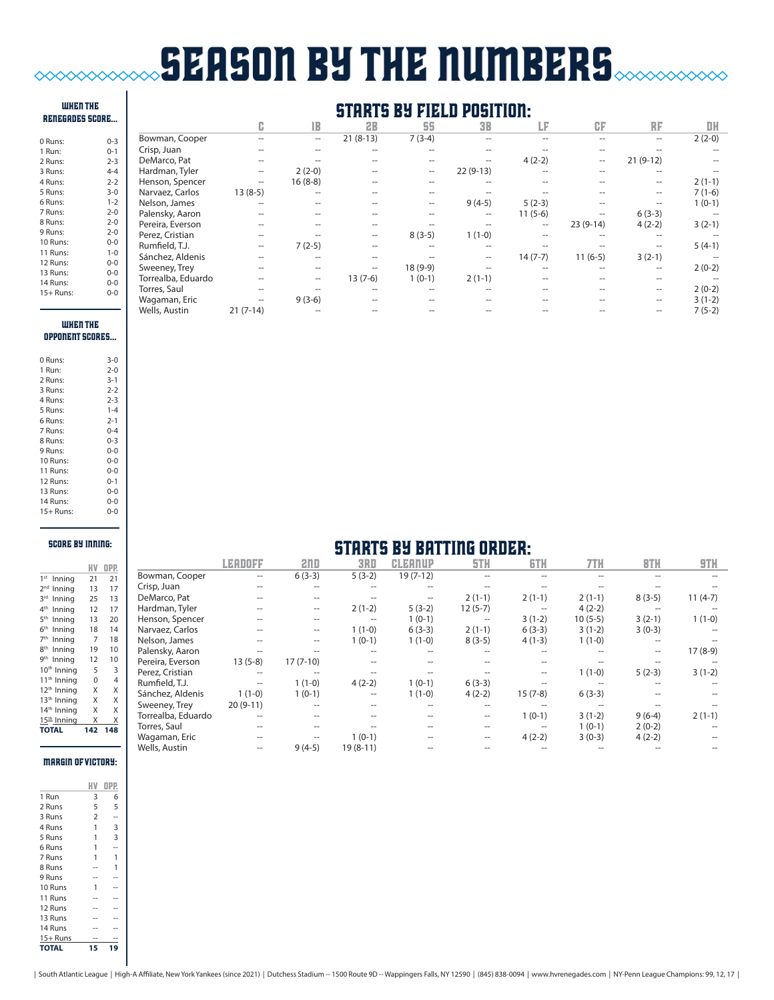# season by the numbers  $\infty$

#### when THE RENEGADES score...

| 0 Runs:   | $0 - 3$ |
|-----------|---------|
| 1 Run:    | $0 - 1$ |
| 2 Runs:   | $2 - 3$ |
| 3 Runs:   | $4 - 4$ |
| 4 Runs:   | $2 - 2$ |
| 5 Runs:   | $3-0$   |
| 6 Runs:   | $1 - 2$ |
| 7 Runs:   | $2 - 0$ |
| 8 Runs:   | $2 - 0$ |
| 9 Runs:   | $2 - 0$ |
| 10 Runs:  | $0 - 0$ |
| 11 Runs:  | $1 - 0$ |
| 12 Runs:  | $0 - 0$ |
| 13 Runs:  | $0 - 0$ |
| 14 Runs:  | 0-0     |
| 15+ Runs: | 0-0     |

# starts by field position:

|                |                    | c                   | lB        | 2B                | 55        | <b>3B</b>           | LF        | CF         | RF         | DH       |
|----------------|--------------------|---------------------|-----------|-------------------|-----------|---------------------|-----------|------------|------------|----------|
| $0 - 3$        | Bowman, Cooper     |                     | --        | $21(8-13)$        | $7(3-4)$  |                     |           |            | --         | $2(2-0)$ |
| $0 - 1$        | Crisp, Juan        |                     |           |                   |           |                     |           |            |            |          |
| $2 - 3$        | DeMarco, Pat       | --                  |           |                   | --        | --                  | $4(2-2)$  | --         | $21(9-12)$ |          |
| $4 - 4$        | Hardman, Tyler     | $\hspace{0.05cm} -$ | $2(2-0)$  |                   | $- -$     | $22(9-13)$          |           |            | --         |          |
| $2 - 2$        | Henson, Spencer    | $\hspace{0.05cm} -$ | $16(8-8)$ |                   |           |                     |           |            | --         | $2(1-1)$ |
| $3 - 0$        | Narvaez, Carlos    | $13(8-5)$           |           |                   |           |                     |           |            | --         | $7(1-6)$ |
| $1 - 2$        | Nelson, James      | --                  |           |                   | --        | $9(4-5)$            | $5(2-3)$  |            |            | $1(0-1)$ |
| $2 - 0$        | Palensky, Aaron    |                     |           |                   |           | --                  | $11(5-6)$ |            | $6(3-3)$   |          |
| $2 - 0$        | Pereira, Everson   |                     |           |                   |           |                     | --        | $23(9-14)$ | $4(2-2)$   | $3(2-1)$ |
| $2 - 0$        | Perez, Cristian    | --                  |           | $\hspace{0.05cm}$ | $8(3-5)$  | $1(1-0)$            |           |            |            |          |
| $0-0$          | Rumfield, T.J.     | --                  | $7(2-5)$  |                   |           | $-$                 |           |            |            | $5(4-1)$ |
| $1 - 0$        | Sánchez, Aldenis   | --                  |           |                   |           | $\hspace{0.05cm} -$ | $14(7-7)$ | $11(6-5)$  | $3(2-1)$   |          |
| $0-0$<br>$0-0$ | Sweeney, Trey      |                     |           | $\hspace{0.05cm}$ | $18(9-9)$ |                     |           |            | --         | $2(0-2)$ |
| $0-0$          | Torrealba, Eduardo |                     | --        | $13(7-6)$         | $1(0-1)$  | $2(1-1)$            |           |            |            |          |
| $0-0$          | Torres, Saul       |                     |           |                   |           |                     |           |            | --         | $2(0-2)$ |
|                | Wagaman, Eric      | --                  | $9(3-6)$  |                   |           |                     |           |            | --         | $3(1-2)$ |
|                | Wells, Austin      | $21(7-14)$          |           |                   |           |                     |           |            |            | $7(5-2)$ |

#### when THE oppONENT scores...

| 0 Runs:   | $3-0$   |
|-----------|---------|
| 1 Run:    | $2 - 0$ |
| 2 Runs:   | $3 - 1$ |
| 3 Runs:   | 2-2     |
| 4 Runs:   | $2 - 3$ |
| 5 Runs:   | $1 - 4$ |
| 6 Runs:   | $2 - 1$ |
| 7 Runs:   | $0 - 4$ |
| 8 Runs:   | $0 - 3$ |
| 9 Runs:   | $0 - 0$ |
| 10 Runs:  | $0 - 0$ |
| 11 Runs:  | $0 - 0$ |
| 12 Runs:  | $0 - 1$ |
| 13 Runs:  | $0 - 0$ |
| 14 Runs:  | $0 - 0$ |
| 15+ Runs: | $0 - 0$ |

#### score by inning:

|                            |     | OPP. |
|----------------------------|-----|------|
| 1 <sup>st</sup><br>Inning  | 21  | 21   |
| 2 <sub>nd</sub><br>Inning  | 13  | 17   |
| 2rd<br>Inning              | 25  | 13   |
| 4 <sup>th</sup><br>Inning  | 12  | 17   |
| 5 <sup>th</sup><br>Inning  | 13  | 20   |
| 6 <sup>th</sup><br>Inning  | 18  | 14   |
| 7 <sup>th</sup><br>Inning  | 7   | 18   |
| <b>gth</b><br>Inning       | 19  | 10   |
| gth<br>Inning              | 12  | 10   |
| 10 <sup>th</sup><br>Inning | 5   | 3    |
| 11 <sup>th</sup><br>Inning | 0   | 4    |
| 12 <sup>th</sup> Inning    | Χ   | X    |
| 13 <sup>th</sup> Inning    | X   | X    |
| $14^{\text{th}}$<br>Inning | X   | X    |
| 15 <sup>th</sup> Inning    | X   | X    |
| <b>TOTAL</b>               | 142 | 148  |
|                            |     |      |

### margin of victory:

| 1 Run        | 3              | 6  |
|--------------|----------------|----|
| 2 Runs       | 5              | 5  |
| 3 Runs       | $\overline{2}$ |    |
| 4 Runs       | 1              | 3  |
| 5 Runs       | 1              | 3  |
| 6 Runs       | 1              |    |
| 7 Runs       | 1              | 1  |
| 8 Runs       |                | 1  |
| 9 Runs       |                |    |
| 10 Runs      | 1              |    |
| 11 Runs      |                |    |
| 12 Runs      |                |    |
| 13 Runs      |                |    |
| 14 Runs      |                |    |
| $15+$ Runs   |                |    |
| <b>TOTAL</b> | 15             | 19 |

|                    | LEADOFF    | 211D              | 3RD        | <b>CLEANUP</b> | 5TH       | <b>GTH</b>        | 7TH       | <b>BTH</b> | 9TH       |
|--------------------|------------|-------------------|------------|----------------|-----------|-------------------|-----------|------------|-----------|
| Bowman, Cooper     |            | $6(3-3)$          | $5(3-2)$   | $19(7-12)$     |           |                   |           |            |           |
| Crisp, Juan        |            |                   |            |                |           |                   |           |            |           |
| DeMarco, Pat       |            |                   |            |                | $2(1-1)$  | $2(1-1)$          | $2(1-1)$  | $8(3-5)$   | $11(4-7)$ |
| Hardman, Tyler     |            | --                | $2(1-2)$   | $5(3-2)$       | $12(5-7)$ | $\hspace{0.05cm}$ | $4(2-2)$  |            |           |
| Henson, Spencer    |            | --                | --         | $1(0-1)$       | --        | $3(1-2)$          | $10(5-5)$ | $3(2-1)$   | $1(1-0)$  |
| Narvaez, Carlos    |            | $\hspace{0.05cm}$ | $1(1-0)$   | $6(3-3)$       | $2(1-1)$  | $6(3-3)$          | $3(1-2)$  | $3(0-3)$   |           |
| Nelson, James      |            | --                | $1(0-1)$   | $1(1-0)$       | $8(3-5)$  | $4(1-3)$          | $1(1-0)$  |            |           |
| Palensky, Aaron    |            |                   |            |                |           |                   |           |            | $17(8-9)$ |
| Pereira, Everson   | $13(5-8)$  | $17(7-10)$        |            |                |           |                   |           |            |           |
| Perez, Cristian    |            |                   |            |                |           |                   | $1(1-0)$  | $5(2-3)$   | $3(1-2)$  |
| Rumfield, T.J.     |            | $1(1-0)$          | $4(2-2)$   | $1(0-1)$       | $6(3-3)$  |                   |           |            |           |
| Sánchez, Aldenis   | $1(1-0)$   | $1(0-1)$          | $-$        | $1(1-0)$       | $4(2-2)$  | $15(7-8)$         | $6(3-3)$  |            |           |
| Sweeney, Trey      | $20(9-11)$ |                   |            |                |           |                   |           |            |           |
| Torrealba, Eduardo |            |                   |            |                |           | $1(0-1)$          | $3(1-2)$  | $9(6-4)$   | $2(1-1)$  |
| Torres, Saul       |            |                   |            |                |           | $- -$             | $1(0-1)$  | $2(0-2)$   |           |
| Wagaman, Eric      |            |                   | $1(0-1)$   |                | --        | $4(2-2)$          | $3(0-3)$  | $4(2-2)$   |           |
| Wells, Austin      |            | $9(4-5)$          | $19(8-11)$ |                |           |                   |           |            |           |

starts by batting order:

| South Atlantic League   High-A Affiliate, New York Yankees (since 2021)   Dutchess Stadium -- 1500 Route 9D -- Wappingers Falls, NY 12590   (845) 838-0094   www.hvrenegades.com   NY-Penn League Champions: 99, 12, 17 |  |  |
|-------------------------------------------------------------------------------------------------------------------------------------------------------------------------------------------------------------------------|--|--|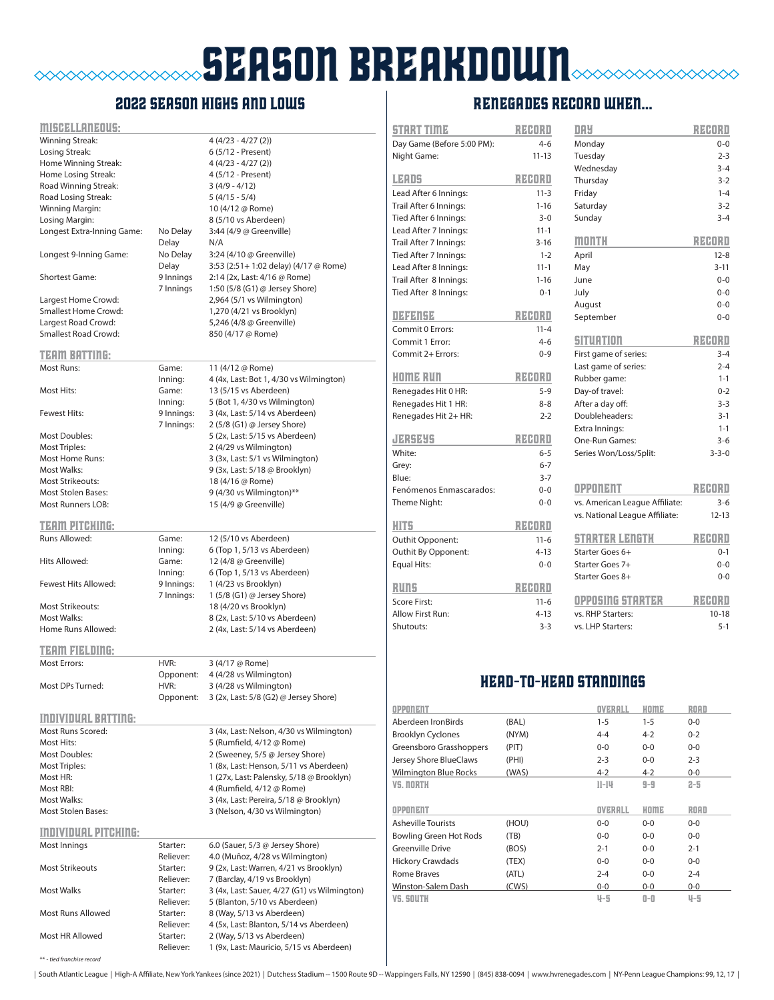# **SEASON BREAKDOWN**  $\alpha$

## 2022 season highs and lows

#### miscellaneous:

\*\* - *tied franchise record*

| <u> ПІІ5ИЯLЕНПРОЦЯ:</u>     |                       |                                                                       |
|-----------------------------|-----------------------|-----------------------------------------------------------------------|
| Winning Streak:             |                       | 4 (4/23 - 4/27 (2))                                                   |
| Losing Streak:              |                       | 6 (5/12 - Present)                                                    |
| Home Winning Streak:        |                       | 4 (4/23 - 4/27 (2))                                                   |
| Home Losing Streak:         |                       | 4 (5/12 - Present)                                                    |
| Road Winning Streak:        |                       |                                                                       |
|                             |                       | $3(4/9 - 4/12)$                                                       |
| Road Losing Streak:         |                       | $5(4/15-5/4)$                                                         |
| Winning Margin:             |                       | 10 (4/12 @ Rome)                                                      |
| Losing Margin:              |                       | 8 (5/10 vs Aberdeen)                                                  |
| Longest Extra-Inning Game:  | No Delay              | 3:44 (4/9 @ Greenville)                                               |
|                             | Delay                 | N/A                                                                   |
| Longest 9-Inning Game:      | No Delay              | 3:24 (4/10 @ Greenville)                                              |
|                             | Delay                 | 3:53 (2:51+ 1:02 delay) (4/17 @ Rome)                                 |
| <b>Shortest Game:</b>       |                       |                                                                       |
|                             | 9 Innings             | 2:14 (2x, Last: 4/16 @ Rome)                                          |
|                             | 7 Innings             | 1:50 (5/8 (G1) @ Jersey Shore)                                        |
| Largest Home Crowd:         |                       | 2,964 (5/1 vs Wilmington)                                             |
| <b>Smallest Home Crowd:</b> |                       | 1,270 (4/21 vs Brooklyn)                                              |
| Largest Road Crowd:         |                       | 5,246 (4/8 @ Greenville)                                              |
| <b>Smallest Road Crowd:</b> |                       | 850 (4/17 @ Rome)                                                     |
|                             |                       |                                                                       |
| <b>TEAM BATTING:</b>        |                       |                                                                       |
|                             |                       |                                                                       |
| Most Runs:                  | Game:                 | 11 (4/12 @ Rome)                                                      |
|                             | Inning:               | 4 (4x, Last: Bot 1, 4/30 vs Wilmington)                               |
| Most Hits:                  | Game:                 | 13 (5/15 vs Aberdeen)                                                 |
|                             | Inning:               | 5 (Bot 1, 4/30 vs Wilmington)                                         |
| <b>Fewest Hits:</b>         | 9 Innings:            | 3 (4x, Last: 5/14 vs Aberdeen)                                        |
|                             | 7 Innings:            | 2 (5/8 (G1) @ Jersey Shore)                                           |
| Most Doubles:               |                       | 5 (2x, Last: 5/15 vs Aberdeen)                                        |
| <b>Most Triples:</b>        |                       | 2 (4/29 vs Wilmington)                                                |
|                             |                       |                                                                       |
| <b>Most Home Runs:</b>      |                       | 3 (3x, Last: 5/1 vs Wilmington)                                       |
| Most Walks:                 |                       | 9 (3x, Last: 5/18 @ Brooklyn)                                         |
| <b>Most Strikeouts:</b>     |                       | 18 (4/16 @ Rome)                                                      |
| <b>Most Stolen Bases:</b>   |                       | 9 (4/30 vs Wilmington)**                                              |
| <b>Most Runners LOB:</b>    |                       | 15 (4/9 @ Greenville)                                                 |
|                             |                       |                                                                       |
| TERIN PITCHUIC:             |                       |                                                                       |
| Runs Allowed:               | Game:                 | 12 (5/10 vs Aberdeen)                                                 |
|                             |                       | 6 (Top 1, 5/13 vs Aberdeen)                                           |
|                             | Inning:               |                                                                       |
| Hits Allowed:               | Game:                 | 12 (4/8 @ Greenville)                                                 |
|                             | Inning:               | 6 (Top 1, 5/13 vs Aberdeen)                                           |
| Fewest Hits Allowed:        | 9 Innings:            | 1 (4/23 vs Brooklyn)                                                  |
|                             | 7 Innings:            | 1 (5/8 (G1) @ Jersey Shore)                                           |
| Most Strikeouts:            |                       | 18 (4/20 vs Brooklyn)                                                 |
| Most Walks:                 |                       | 8 (2x, Last: 5/10 vs Aberdeen)                                        |
| Home Runs Allowed:          |                       | 2 (4x, Last: 5/14 vs Aberdeen)                                        |
|                             |                       |                                                                       |
| TERIN ELELUNIE:             |                       |                                                                       |
| <b>Most Errors:</b>         |                       |                                                                       |
|                             | HVR:                  | 3 (4/17 @ Rome)                                                       |
|                             | Opponent:             | 4 (4/28 vs Wilmington)                                                |
| Most DPs Turned:            | HVR:                  | 3 (4/28 vs Wilmington)                                                |
|                             | Opponent:             | 3 (2x, Last: 5/8 (G2) @ Jersey Shore)                                 |
|                             |                       |                                                                       |
| <b>INDIVIDUAL BATTING:</b>  |                       |                                                                       |
| Most Runs Scored:           |                       | 3 (4x, Last: Nelson, 4/30 vs Wilmington)                              |
| Most Hits:                  |                       | 5 (Rumfield, 4/12 @ Rome)                                             |
| Most Doubles:               |                       | 2 (Sweeney, 5/5 @ Jersey Shore)                                       |
|                             |                       |                                                                       |
| <b>Most Triples:</b>        |                       | 1 (8x, Last: Henson, 5/11 vs Aberdeen)                                |
| Most HR:                    |                       | 1 (27x, Last: Palensky, 5/18 @ Brooklyn)                              |
| Most RBI:                   |                       | 4 (Rumfield, 4/12 @ Rome)                                             |
| Most Walks:                 |                       | 3 (4x, Last: Pereira, 5/18 @ Brooklyn)                                |
| <b>Most Stolen Bases:</b>   |                       | 3 (Nelson, 4/30 vs Wilmington)                                        |
|                             |                       |                                                                       |
| <u>INDIVIDUAL PITCHING:</u> |                       |                                                                       |
| Most Innings                | Starter:              | 6.0 (Sauer, 5/3 @ Jersey Shore)                                       |
|                             | Reliever:             | 4.0 (Muñoz, 4/28 vs Wilmington)                                       |
|                             |                       |                                                                       |
| Most Strikeouts             | Starter:              | 9 (2x, Last: Warren, 4/21 vs Brooklyn)                                |
|                             | Reliever:             | 7 (Barclay, 4/19 vs Brooklyn)                                         |
| Most Walks                  | Starter:              | 3 (4x, Last: Sauer, 4/27 (G1) vs Wilmington)                          |
|                             | Reliever:             | 5 (Blanton, 5/10 vs Aberdeen)                                         |
| <b>Most Runs Allowed</b>    | Starter:              | 8 (Way, 5/13 vs Aberdeen)                                             |
|                             |                       |                                                                       |
|                             | Reliever:             |                                                                       |
|                             |                       | 4 (5x, Last: Blanton, 5/14 vs Aberdeen)                               |
| Most HR Allowed             | Starter:<br>Reliever: | 2 (Way, 5/13 vs Aberdeen)<br>1 (9x, Last: Mauricio, 5/15 vs Aberdeen) |

### RENEGADES record when...

| START TIME                 | REDRI     | DAY                            | RZEORO      |
|----------------------------|-----------|--------------------------------|-------------|
| Day Game (Before 5:00 PM): | $4 - 6$   | Monday                         | $0 - 0$     |
| Night Game:                | $11 - 13$ | Tuesday                        | $2 - 3$     |
|                            |           | Wednesday                      | $3 - 4$     |
| <b>LEADS</b>               | RECORD    | Thursday                       | $3 - 2$     |
| Lead After 6 Innings:      | $11 - 3$  | Friday                         | $1 - 4$     |
| Trail After 6 Innings:     | $1 - 16$  | Saturday                       | $3 - 2$     |
| Tied After 6 Innings:      | $3 - 0$   | Sunday                         | $3 - 4$     |
| Lead After 7 Innings:      | $11 - 1$  |                                |             |
| Trail After 7 Innings:     | $3 - 16$  | month                          | RZEORO      |
| Tied After 7 Innings:      | $1 - 2$   | April                          | $12 - 8$    |
| Lead After 8 Innings:      | $11 - 1$  | May                            | $3 - 11$    |
| Trail After 8 Innings:     | $1 - 16$  | June                           | $0 - 0$     |
| Tied After 8 Innings:      | $0 - 1$   | July                           | $0 - 0$     |
|                            |           | August                         | $0 - 0$     |
| <b>DEFENSE</b>             | RZEORO    | September                      | $0 - 0$     |
| Commit 0 Errors:           | $11 - 4$  |                                |             |
| Commit 1 Error:            | $4 - 6$   | SITUATION                      | RECORD      |
| Commit 2+ Errors:          | $0 - 9$   | First game of series:          | $3 - 4$     |
|                            |           | Last game of series:           | $2 - 4$     |
| KOME RUN                   | RZADRO    | Rubber game:                   | $1 - 1$     |
| Renegades Hit 0 HR:        | $5 - 9$   | Day-of travel:                 | $0 - 2$     |
| Renegades Hit 1 HR:        | $8 - 8$   | After a day off:               | $3 - 3$     |
| Renegades Hit 2+ HR:       | $2 - 2$   | Doubleheaders:                 | $3-1$       |
|                            |           | Extra Innings:                 | $1 - 1$     |
| 小沢5兆5                      | REDRO     | One-Run Games:                 | $3 - 6$     |
| White:                     | $6 - 5$   | Series Won/Loss/Split:         | $3 - 3 - 0$ |
| Grey:                      | $6 - 7$   |                                |             |
| Blue:                      | $3 - 7$   |                                |             |
| Fenómenos Enmascarados:    | $0 - 0$   | OPPONENT                       | RZEORO      |
| Theme Night:               | $0 - 0$   | vs. American League Affiliate: | $3 - 6$     |
|                            | RECORD    | vs. National League Affiliate: | $12 - 13$   |
| <b>HITS</b>                |           |                                | RZEORO      |
| Outhit Opponent:           | $11 - 6$  | STARTER LENETH                 |             |
| Outhit By Opponent:        | $4 - 13$  | Starter Goes 6+                | $0 - 1$     |
| <b>Equal Hits:</b>         | $0 - 0$   | Starter Goes 7+                | $0 - 0$     |
| RUNS                       | RZEORO    | Starter Goes 8+                | $0 - 0$     |
| Score First:               | $11 - 6$  | <b>OPPOSING STARTER</b>        | RZEORO      |
| Allow First Run:           | $4 - 13$  | vs. RHP Starters:              | $10 - 18$   |
| Shutouts:                  | $3 - 3$   | vs. LHP Starters:              | $5 - 1$     |
|                            |           |                                |             |
|                            |           |                                |             |
|                            |           | <b>HEAD-TO-HEAD STANDINGS</b>  |             |
| <b>OPPONENT</b>            |           | HOME<br>OVERALL                | ROAD        |
| Aberdeen IronBirds         | (BAL)     | $1 - 5$<br>$1 - 5$             | $0 - 0$     |
|                            |           |                                |             |

| OPPONENT                      |       | OVERALL   | HOME    | ROAD    |
|-------------------------------|-------|-----------|---------|---------|
| Aberdeen IronBirds            | (BAL) | $1 - 5$   | $1 - 5$ | $0 - 0$ |
| <b>Brooklyn Cyclones</b>      | (NYM) | $4 - 4$   | $4 - 2$ | $0 - 2$ |
| Greensboro Grasshoppers       | (PIT) | $0-0$     | $0 - 0$ | $0-0$   |
| Jersey Shore BlueClaws        | (PHI) | $2 - 3$   | $0 - 0$ | $2 - 3$ |
| <b>Wilmington Blue Rocks</b>  | (WAS) | $4 - 2$   | $4 - 2$ | $0-0$   |
| <b>VS. NORTH</b>              |       | $11 - 14$ | $9-9$   | $2 - 5$ |
|                               |       |           |         |         |
| <b>OPPONENT</b>               |       | OVERALL   | HOME    | ROAD    |
| <b>Asheville Tourists</b>     | (HOU) | $0 - 0$   | $0 - 0$ | $0 - 0$ |
| <b>Bowling Green Hot Rods</b> | (TB)  | $0 - 0$   | $0 - 0$ | $0-0$   |
| <b>Greenville Drive</b>       | (BOS) | $2 - 1$   | $0 - 0$ | $2 - 1$ |
| <b>Hickory Crawdads</b>       | (TEX) | $0 - 0$   | $0 - 0$ | $0 - 0$ |
| Rome Braves                   | (ATL) | $2 - 4$   | $0 - 0$ | $2 - 4$ |
| Winston-Salem Dash            | (CWS) | $0-0$     | $0-0$   | $0-0$   |

| South Atlantic League | High-A Affiliate, New York Yankees (since 2021) | Dutchess Stadium -- 1500 Route 9D -- Wappingers Falls, NY 12590 | (845) 838-0094 | www.hvrenegades.com | NY-Penn League Champions: 99, 12, 17 |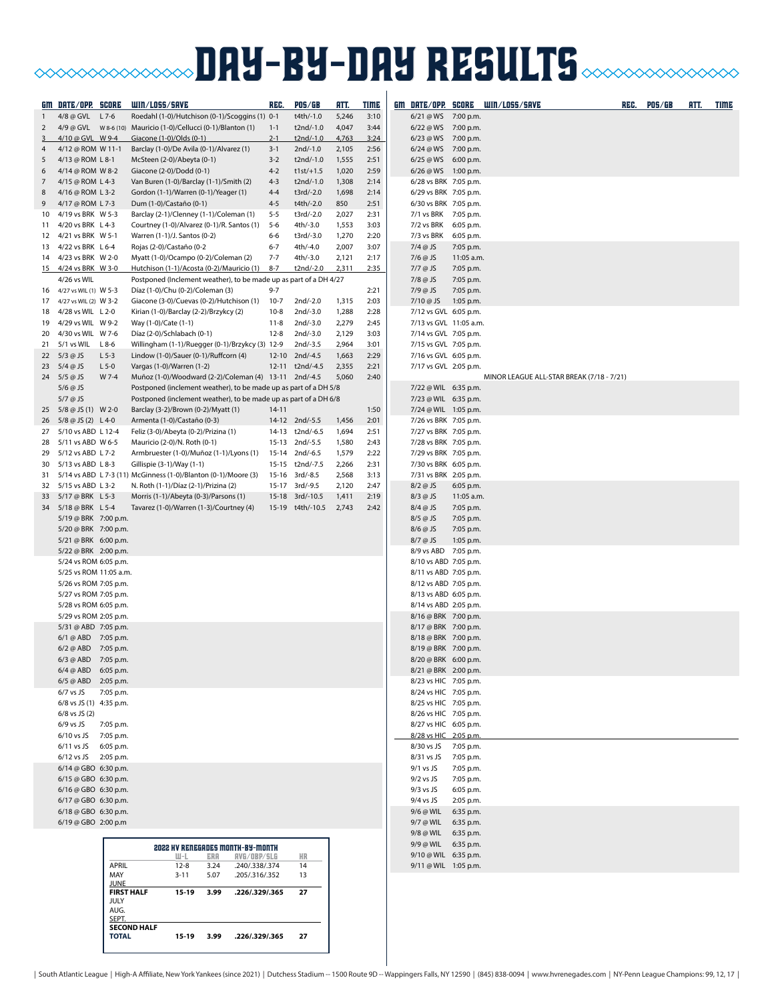# **BAY-BY-DAY RESULTS CONDITIONS IN THE SULTS**

|                | GM DATE/OPP. SCORE                             |                                  | WIN/LOSS/SAVE                                                                                                             | REG.               | <b>POS/GB</b>                     | RTT.           | <u>TIME</u>  |                            |                                                | GM DATE/OPP. SCORE WIN/LOSS/SAVE          | REG. | <b>POS/GB</b> | RTT. | <b>TIME</b> |
|----------------|------------------------------------------------|----------------------------------|---------------------------------------------------------------------------------------------------------------------------|--------------------|-----------------------------------|----------------|--------------|----------------------------|------------------------------------------------|-------------------------------------------|------|---------------|------|-------------|
| $\mathbf{1}$   | 4/8 @ GVL L 7-6                                |                                  | Roedahl (1-0)/Hutchison (0-1)/Scoggins (1) 0-1                                                                            |                    | t4th/-1.0                         | 5,246          | 3:10         |                            | 6/21 @ WS 7:00 p.m.                            |                                           |      |               |      |             |
| 2              |                                                |                                  | 4/9 @ GVL  W 8-6 (10) Mauricio (1-0)/Cellucci (0-1)/Blanton (1)                                                           | $1 - 1$            | t2nd/-1.0                         | 4,047          | 3:44         |                            | 6/22 @ WS 7:00 p.m.                            |                                           |      |               |      |             |
| 3              | 4/10 @ GVL W 9-4                               |                                  | Giacone (1-0)/Olds (0-1)                                                                                                  | $2 - 1$            | t2nd/-1.0                         | 4,763          | 3:24         |                            | 6/23 @ WS 7:00 p.m.                            |                                           |      |               |      |             |
| 4              | 4/12 @ ROM W 11-1                              |                                  | Barclay (1-0)/De Avila (0-1)/Alvarez (1)                                                                                  | $3 - 1$<br>$3 - 2$ | 2nd/-1.0<br>t2nd/-1.0             | 2,105          | 2:56         |                            | 6/24 @ WS 7:00 p.m.<br>6/25 @ WS 6:00 p.m.     |                                           |      |               |      |             |
| 5<br>6         | 4/13 @ ROM L 8-1<br>4/14 @ ROM W 8-2           |                                  | McSteen (2-0)/Abeyta (0-1)<br>Giacone (2-0)/Dodd (0-1)                                                                    | $4 - 2$            | $t1st/ + 1.5$                     | 1,555<br>1,020 | 2:51<br>2:59 |                            | 6/26 @ WS 1:00 p.m.                            |                                           |      |               |      |             |
| $\overline{7}$ | 4/15 @ ROM L 4-3                               |                                  | Van Buren (1-0)/Barclay (1-1)/Smith (2)                                                                                   | $4 - 3$            | t2nd/-1.0                         | 1,308          | 2:14         |                            | 6/28 vs BRK 7:05 p.m.                          |                                           |      |               |      |             |
| 8              | 4/16 @ ROM L 3-2                               |                                  | Gordon (1-1)/Warren (0-1)/Yeager (1)                                                                                      | $4 - 4$            | t3rd/-2.0                         | 1,698          | 2:14         |                            | 6/29 vs BRK 7:05 p.m.                          |                                           |      |               |      |             |
| 9              | 4/17 @ ROM L 7-3                               |                                  | Dum (1-0)/Castaño (0-1)                                                                                                   | $4 - 5$            | t4th/-2.0                         | 850            | 2:51         |                            | 6/30 vs BRK 7:05 p.m.                          |                                           |      |               |      |             |
| 10             | 4/19 vs BRK W 5-3                              |                                  | Barclay (2-1)/Clenney (1-1)/Coleman (1)                                                                                   | $5 - 5$            | t3rd/-2.0                         | 2,027          | 2:31         |                            | 7/1 vs BRK 7:05 p.m.                           |                                           |      |               |      |             |
| 11             | 4/20 vs BRK L 4-3<br>4/21 vs BRK W 5-1         |                                  | Courtney (1-0)/Alvarez (0-1)/R. Santos (1)<br>Warren (1-1)/J. Santos (0-2)                                                | $5 - 6$<br>6-6     | 4th/-3.0<br>t3rd/-3.0             | 1,553<br>1,270 | 3:03<br>2:20 | 7/3 vs BRK                 | 7/2 vs BRK 6:05 p.m.                           |                                           |      |               |      |             |
| 12             | 13 4/22 vs BRK L 6-4                           |                                  | Rojas (2-0)/Castaño (0-2                                                                                                  | $6 - 7$            | 4th/-4.0                          | 2,007          | 3:07         | $7/4$ @ JS                 | 6:05 p.m.<br>7:05 p.m.                         |                                           |      |               |      |             |
| 14             | 4/23 vs BRK W 2-0                              |                                  | Myatt (1-0)/Ocampo (0-2)/Coleman (2)                                                                                      | $7 - 7$            | 4th/-3.0                          | 2,121          | 2:17         | $7/6$ @ JS                 | 11:05 a.m.                                     |                                           |      |               |      |             |
|                | 15 4/24 vs BRK W 3-0                           |                                  | Hutchison (1-1)/Acosta (0-2)/Mauricio (1) 8-7                                                                             |                    | t2nd/-2.0                         | 2,311          | 2:35         | 7/7 @ JS                   | 7:05 p.m.                                      |                                           |      |               |      |             |
|                | 4/26 vs WIL                                    |                                  | Postponed (Inclement weather), to be made up as part of a DH 4/27                                                         |                    |                                   |                |              | 7/8 @ JS                   | 7:05 p.m.                                      |                                           |      |               |      |             |
| 16             | 4/27 vs WIL (1) W 5-3                          |                                  | Díaz (1-0)/Chu (0-2)/Coleman (3)                                                                                          | $9 - 7$            |                                   |                | 2:21         | $7/9$ @ JS                 | 7:05 p.m.                                      |                                           |      |               |      |             |
| 17<br>18       | 4/27 vs WIL (2) W 3-2<br>4/28 vs WIL L 2-0     |                                  | Giacone (3-0)/Cuevas (0-2)/Hutchison (1)<br>Kirian (1-0)/Barclay (2-2)/Brzykcy (2)                                        | $10-7$<br>$10 - 8$ | $2nd/-2.0$<br>$2nd/-3.0$          | 1,315<br>1,288 | 2:03<br>2:28 | $7/10 @$ JS                | 1:05 p.m.<br>7/12 vs GVL 6:05 p.m.             |                                           |      |               |      |             |
| 19             | 4/29 vs WIL W 9-2                              |                                  | Way (1-0)/Cate (1-1)                                                                                                      | $11 - 8$           | 2nd/-3.0                          | 2,279          | 2:45         |                            | 7/13 vs GVL 11:05 a.m.                         |                                           |      |               |      |             |
| 20             | 4/30 vs WIL W 7-6                              |                                  | Díaz (2-0)/Schlabach (0-1)                                                                                                | 12-8               | $2nd/-3.0$                        | 2,129          | 3:03         |                            | 7/14 vs GVL 7:05 p.m.                          |                                           |      |               |      |             |
| 21             | 5/1 vs WIL                                     | $L8-6$                           | Willingham (1-1)/Ruegger (0-1)/Brzykcy (3) 12-9                                                                           |                    | 2nd/-3.5                          | 2,964          | 3:01         |                            | 7/15 vs GVL 7:05 p.m.                          |                                           |      |               |      |             |
| 22             | 5/3 @ JS                                       | $L$ 5-3                          | Lindow (1-0)/Sauer (0-1)/Ruffcorn (4)                                                                                     |                    | 12-10 2nd/-4.5                    | 1,663          | 2:29         |                            | 7/16 vs GVL 6:05 p.m.                          |                                           |      |               |      |             |
| 23             | 5/4 @ JS                                       | $L$ 5-0                          | Vargas (1-0)/Warren (1-2)                                                                                                 |                    | 12-11 t2nd/-4.5                   | 2,355<br>5,060 | 2:21<br>2:40 |                            | 7/17 vs GVL 2:05 p.m.                          |                                           |      |               |      |             |
|                | 24 $5/5 @ JS$<br>$5/6$ @ JS                    | W 7-4                            | Muñoz (1-0)/Woodward (2-2)/Coleman (4) 13-11 2nd/-4.5<br>Postponed (inclement weather), to be made up as part of a DH 5/8 |                    |                                   |                |              |                            | 7/22 @ WIL 6:35 p.m.                           | MINOR LEAGUE ALL-STAR BREAK (7/18 - 7/21) |      |               |      |             |
|                | $5/7$ @ JS                                     |                                  | Postponed (inclement weather), to be made up as part of a DH 6/8                                                          |                    |                                   |                |              |                            | 7/23 @ WIL 6:35 p.m.                           |                                           |      |               |      |             |
|                | 25 5/8 @ JS (1) W 2-0                          |                                  | Barclay (3-2)/Brown (0-2)/Myatt (1)                                                                                       | $14 - 11$          |                                   |                | 1:50         |                            | 7/24 @ WIL 1:05 p.m.                           |                                           |      |               |      |             |
|                | 26 5/8 @ JS (2) L 4-0                          |                                  | Armenta (1-0)/Castaño (0-3)                                                                                               |                    | 14-12 2nd/-5.5                    | 1,456          | 2:01         |                            | 7/26 vs BRK 7:05 p.m.                          |                                           |      |               |      |             |
| 27             | 5/10 vs ABD L 12-4                             |                                  | Feliz (3-0)/Abeyta (0-2)/Prizina (1)                                                                                      |                    | 14-13 t2nd/-6.5                   | 1,694          | 2:51         |                            | 7/27 vs BRK 7:05 p.m.                          |                                           |      |               |      |             |
| 28             | 5/11 vs ABD W 6-5                              |                                  | Mauricio (2-0)/N. Roth (0-1)<br>Armbruester (1-0)/Muñoz (1-1)/Lyons (1)                                                   |                    | 15-13 2nd/-5.5                    | 1,580          | 2:43<br>2:22 |                            | 7/28 vs BRK 7:05 p.m.                          |                                           |      |               |      |             |
| 29<br>30       | 5/12 vs ABD L 7-2<br>5/13 vs ABD L 8-3         |                                  | Gillispie (3-1)/Way (1-1)                                                                                                 |                    | 15-14 2nd/-6.5<br>15-15 t2nd/-7.5 | 1,579<br>2,266 | 2:31         |                            | 7/29 vs BRK 7:05 p.m.<br>7/30 vs BRK 6:05 p.m. |                                           |      |               |      |             |
| 31             |                                                |                                  | 5/14 vs ABD L 7-3 (11) McGinness (1-0)/Blanton (0-1)/Moore (3)                                                            |                    | 15-16 3rd/-8.5                    | 2,568          | 3:13         |                            | 7/31 vs BRK 2:05 p.m.                          |                                           |      |               |      |             |
| 32             | 5/15 vs ABD L 3-2                              |                                  | N. Roth (1-1)/Díaz (2-1)/Prizina (2)                                                                                      |                    | 15-17 3rd/-9.5                    | 2,120          | 2:47         | $8/2$ @ JS                 | 6:05 p.m.                                      |                                           |      |               |      |             |
| 33             | 5/17 @ BRK L 5-3                               |                                  | Morris (1-1)/Abeyta (0-3)/Parsons (1)                                                                                     |                    | 15-18 3rd/-10.5                   | 1,411          | 2:19         | $8/3$ @ JS                 | 11:05 a.m.                                     |                                           |      |               |      |             |
|                | 34 5/18 @ BRK L 5-4                            |                                  | Tavarez (1-0)/Warren (1-3)/Courtney (4)                                                                                   |                    | 15-19 t4th/-10.5                  | 2,743          | 2:42         | $8/4$ @ JS                 | 7:05 p.m.                                      |                                           |      |               |      |             |
|                | 5/19 @ BRK 7:00 p.m.<br>5/20 @ BRK 7:00 p.m.   |                                  |                                                                                                                           |                    |                                   |                |              | $8/5$ @ JS<br>$8/6$ @ JS   | 7:05 p.m.<br>7:05 p.m.                         |                                           |      |               |      |             |
|                | 5/21 @ BRK 6:00 p.m.                           |                                  |                                                                                                                           |                    |                                   |                |              | $8/7$ @ JS                 | 1:05 p.m.                                      |                                           |      |               |      |             |
|                | 5/22 @ BRK 2:00 p.m.                           |                                  |                                                                                                                           |                    |                                   |                |              |                            | 8/9 vs ABD 7:05 p.m.                           |                                           |      |               |      |             |
|                | 5/24 vs ROM 6:05 p.m.                          |                                  |                                                                                                                           |                    |                                   |                |              |                            | 8/10 vs ABD 7:05 p.m.                          |                                           |      |               |      |             |
|                | 5/25 vs ROM 11:05 a.m.                         |                                  |                                                                                                                           |                    |                                   |                |              |                            | 8/11 vs ABD 7:05 p.m.                          |                                           |      |               |      |             |
|                | 5/26 vs ROM 7:05 p.m.<br>5/27 vs ROM 7:05 p.m. |                                  |                                                                                                                           |                    |                                   |                |              |                            | 8/12 vs ABD 7:05 p.m.<br>8/13 vs ABD 6:05 p.m. |                                           |      |               |      |             |
|                | 5/28 vs ROM 6:05 p.m.                          |                                  |                                                                                                                           |                    |                                   |                |              |                            | 8/14 vs ABD 2:05 p.m.                          |                                           |      |               |      |             |
|                | 5/29 vs ROM 2:05 p.m.                          |                                  |                                                                                                                           |                    |                                   |                |              |                            | 8/16 @ BRK 7:00 p.m.                           |                                           |      |               |      |             |
|                | 5/31 @ ABD 7:05 p.m.                           |                                  |                                                                                                                           |                    |                                   |                |              |                            | 8/17 @ BRK 7:00 p.m.                           |                                           |      |               |      |             |
|                | 6/1 @ ABD 7:05 p.m.                            |                                  |                                                                                                                           |                    |                                   |                |              |                            | 8/18 @ BRK 7:00 p.m.                           |                                           |      |               |      |             |
|                | 6/2 @ ABD 7:05 p.m.<br>6/3 @ ABD 7:05 p.m.     |                                  |                                                                                                                           |                    |                                   |                |              |                            | 8/19 @ BRK 7:00 p.m.<br>8/20 @ BRK 6:00 p.m.   |                                           |      |               |      |             |
|                | 6/4 @ ABD 6:05 p.m.                            |                                  |                                                                                                                           |                    |                                   |                |              |                            | 8/21 @ BRK 2:00 p.m.                           |                                           |      |               |      |             |
|                | 6/5 @ ABD 2:05 p.m.                            |                                  |                                                                                                                           |                    |                                   |                |              |                            | 8/23 vs HIC 7:05 p.m.                          |                                           |      |               |      |             |
|                | $6/7$ vs JS                                    | 7:05 p.m.                        |                                                                                                                           |                    |                                   |                |              |                            | 8/24 vs HIC 7:05 p.m.                          |                                           |      |               |      |             |
|                | 6/8 vs JS (1) 4:35 p.m.                        |                                  |                                                                                                                           |                    |                                   |                |              |                            | 8/25 vs HIC 7:05 p.m.                          |                                           |      |               |      |             |
|                | $6/8$ vs JS $(2)$<br>$6/9$ vs JS               | 7:05 p.m.                        |                                                                                                                           |                    |                                   |                |              |                            | 8/26 vs HIC 7:05 p.m.<br>8/27 vs HIC 6:05 p.m. |                                           |      |               |      |             |
|                | 6/10 vs JS 7:05 p.m.                           |                                  |                                                                                                                           |                    |                                   |                |              |                            | 8/28 vs HIC 2:05 p.m.                          |                                           |      |               |      |             |
|                | 6/11 vs JS 6:05 p.m.                           |                                  |                                                                                                                           |                    |                                   |                |              | 8/30 vs JS                 | 7:05 p.m.                                      |                                           |      |               |      |             |
|                | 6/12 vs JS 2:05 p.m.                           |                                  |                                                                                                                           |                    |                                   |                |              | 8/31 vs JS                 | 7:05 p.m.                                      |                                           |      |               |      |             |
|                | 6/14 @ GBO 6:30 p.m.                           |                                  |                                                                                                                           |                    |                                   |                |              | $9/1$ vs JS                | 7:05 p.m.                                      |                                           |      |               |      |             |
|                | 6/15 @ GBO 6:30 p.m.<br>6/16 @ GBO 6:30 p.m.   |                                  |                                                                                                                           |                    |                                   |                |              | $9/2$ vs JS<br>$9/3$ vs JS | 7:05 p.m.<br>6:05 p.m.                         |                                           |      |               |      |             |
|                | 6/17 @ GBO 6:30 p.m.                           |                                  |                                                                                                                           |                    |                                   |                |              | $9/4$ vs JS                | 2:05 p.m.                                      |                                           |      |               |      |             |
|                | 6/18 @ GBO 6:30 p.m.                           |                                  |                                                                                                                           |                    |                                   |                |              | 9/6 @ WIL                  | 6:35 p.m.                                      |                                           |      |               |      |             |
|                | 6/19 @ GBO 2:00 p.m                            |                                  |                                                                                                                           |                    |                                   |                |              |                            | 9/7 @ WIL 6:35 p.m.                            |                                           |      |               |      |             |
|                |                                                |                                  |                                                                                                                           |                    |                                   |                |              |                            | 9/8 @ WIL 6:35 p.m.                            |                                           |      |               |      |             |
|                |                                                |                                  | 2022 HV RENEGADES MONTH-BY-MONTH<br>W−L<br>ERA<br>RVG/OBP/SLG                                                             |                    | HR                                |                |              |                            | 9/9 @ WIL 6:35 p.m.<br>9/10 @ WIL 6:35 p.m.    |                                           |      |               |      |             |
|                |                                                | <b>APRIL</b>                     | $12 - 8$<br>3.24<br>.240/.338/.374                                                                                        |                    | 14                                |                |              |                            | 9/11 @ WIL 1:05 p.m.                           |                                           |      |               |      |             |
|                |                                                | MAY                              | $3 - 11$<br>5.07<br>.205/.316/.352                                                                                        |                    | 13                                |                |              |                            |                                                |                                           |      |               |      |             |
|                |                                                | <b>JUNE</b><br><b>FIRST HALF</b> | 15-19<br>3.99<br>.226/.329/.365                                                                                           |                    | 27                                |                |              |                            |                                                |                                           |      |               |      |             |
|                |                                                | <b>JULY</b>                      |                                                                                                                           |                    |                                   |                |              |                            |                                                |                                           |      |               |      |             |
|                |                                                | AUG.<br>SEPT.                    |                                                                                                                           |                    |                                   |                |              |                            |                                                |                                           |      |               |      |             |
|                |                                                |                                  | <b>SECOND HALF</b>                                                                                                        |                    |                                   |                |              |                            |                                                |                                           |      |               |      |             |

**TOTAL 15-19 3.99 .226/.329/.365 27**